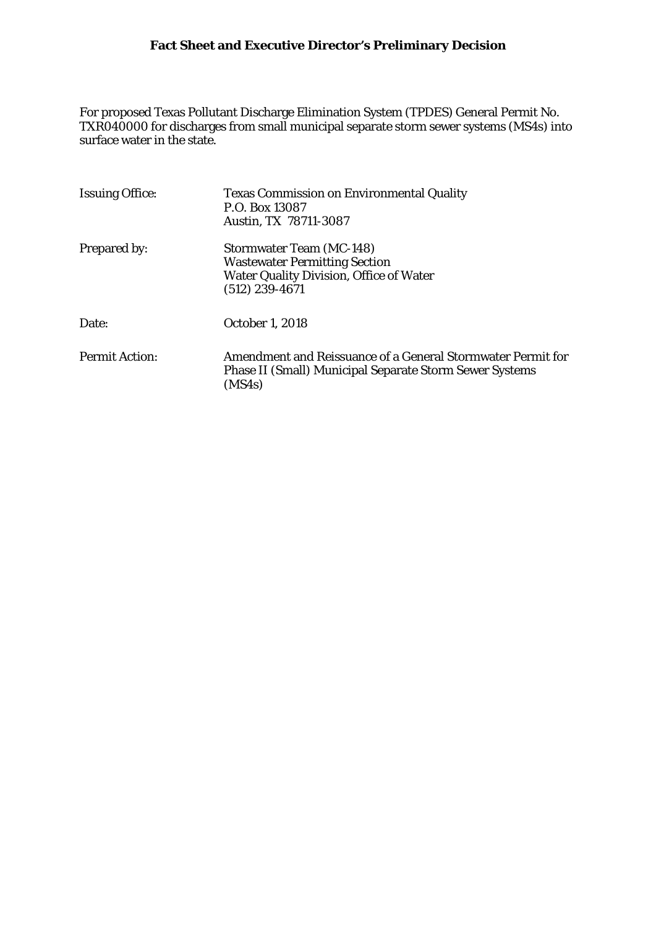For proposed Texas Pollutant Discharge Elimination System (TPDES) General Permit No. TXR040000 for discharges from small municipal separate storm sewer systems (MS4s) into surface water in the state.

| <b>Issuing Office:</b> | <b>Texas Commission on Environmental Quality</b><br>P.O. Box 13087<br>Austin, TX 78711-3087                                                   |  |  |
|------------------------|-----------------------------------------------------------------------------------------------------------------------------------------------|--|--|
| Prepared by:           | <b>Stormwater Team (MC-148)</b><br><b>Wastewater Permitting Section</b><br><b>Water Quality Division, Office of Water</b><br>$(512)$ 239-4671 |  |  |
| Date:                  | October 1, 2018                                                                                                                               |  |  |
| <b>Permit Action:</b>  | Amendment and Reissuance of a General Stormwater Permit for<br><b>Phase II (Small) Municipal Separate Storm Sewer Systems</b><br>(MS4s)       |  |  |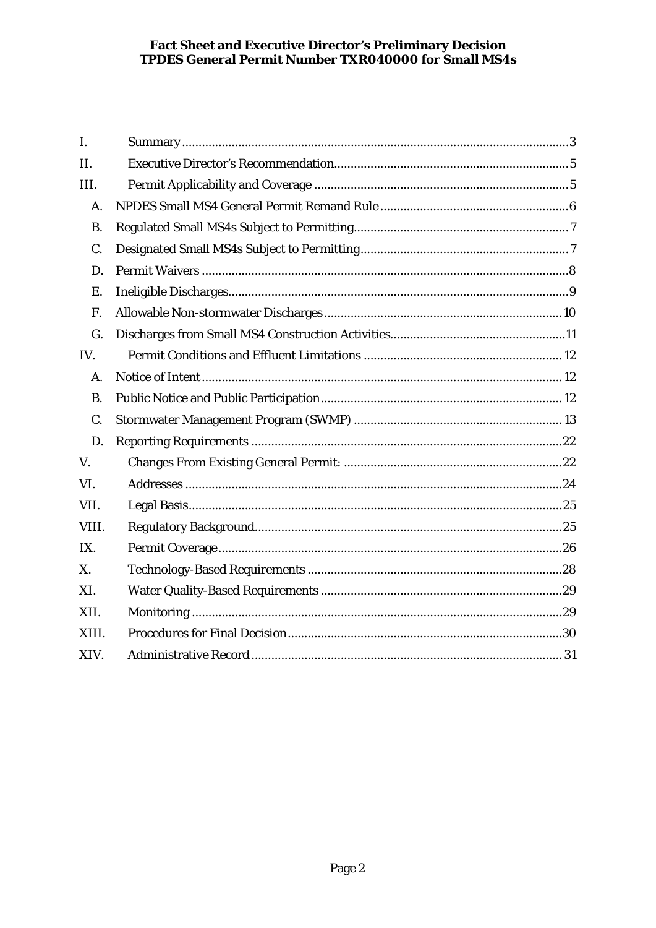| I.        |  |  |  |
|-----------|--|--|--|
| II.       |  |  |  |
| III.      |  |  |  |
| A.        |  |  |  |
| <b>B.</b> |  |  |  |
| C.        |  |  |  |
| D.        |  |  |  |
| Ε.        |  |  |  |
| F.        |  |  |  |
| G.        |  |  |  |
| IV.       |  |  |  |
| A.        |  |  |  |
| <b>B.</b> |  |  |  |
| C.        |  |  |  |
| D.        |  |  |  |
| V.        |  |  |  |
| VI.       |  |  |  |
| VII.      |  |  |  |
| VIII.     |  |  |  |
| IX.       |  |  |  |
| X.        |  |  |  |
| XI.       |  |  |  |
| XII.      |  |  |  |
| XIII.     |  |  |  |
| XIV.      |  |  |  |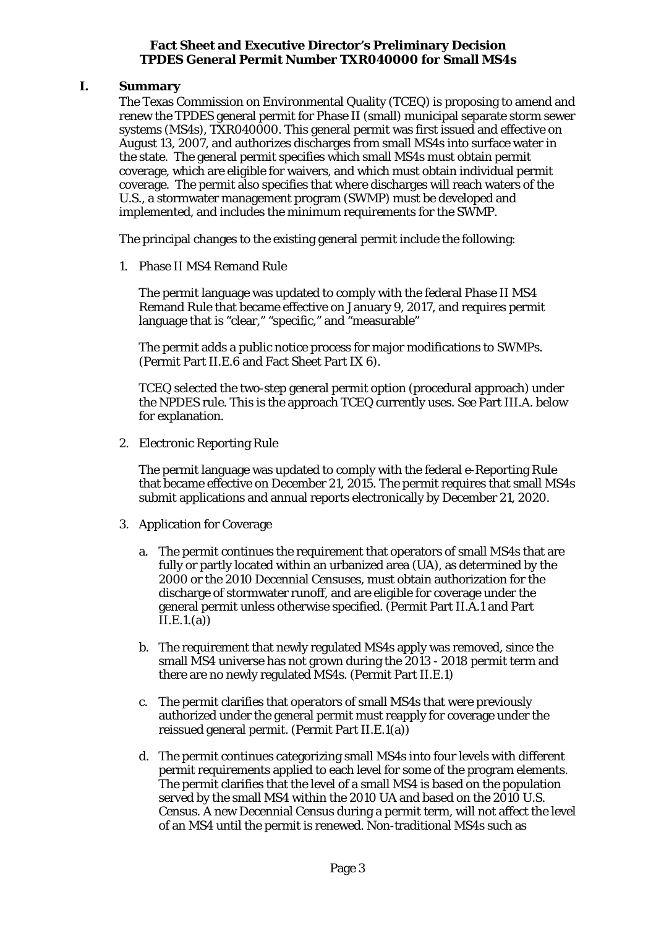## <span id="page-2-0"></span>**I. Summary**

The Texas Commission on Environmental Quality (TCEQ) is proposing to amend and renew the TPDES general permit for Phase II (small) municipal separate storm sewer systems (MS4s), TXR040000. This general permit was first issued and effective on August 13, 2007, and authorizes discharges from small MS4s into surface water in the state. The general permit specifies which small MS4s must obtain permit coverage, which are eligible for waivers, and which must obtain individual permit coverage. The permit also specifies that where discharges will reach waters of the U.S., a stormwater management program (SWMP) must be developed and implemented, and includes the minimum requirements for the SWMP.

The principal changes to the existing general permit include the following:

1. Phase II MS4 Remand Rule

The permit language was updated to comply with the federal Phase II MS4 Remand Rule that became effective on January 9, 2017, and requires permit language that is "clear," "specific," and "measurable"

The permit adds a public notice process for major modifications to SWMPs. (Permit Part II.E.6 and Fact Sheet Part IX 6).

TCEQ selected the two-step general permit option (procedural approach) under the NPDES rule. This is the approach TCEQ currently uses. *See* Part III.A. below for explanation.

2. Electronic Reporting Rule

The permit language was updated to comply with the federal e-Reporting Rule that became effective on December 21, 2015. The permit requires that small MS4s submit applications and annual reports electronically by December 21, 2020.

- 3. Application for Coverage
	- a. The permit continues the requirement that operators of small MS4s that are fully or partly located within an urbanized area (UA), as determined by the 2000 or the 2010 Decennial Censuses, must obtain authorization for the discharge of stormwater runoff, and are eligible for coverage under the general permit unless otherwise specified. (Permit Part II.A.1 and Part  $\overline{I}I.E.1.(a)$
	- b. The requirement that newly regulated MS4s apply was removed, since the small MS4 universe has not grown during the 2013 - 2018 permit term and there are no newly regulated MS4s. (Permit Part II.E.1)
	- c. The permit clarifies that operators of small MS4s that were previously authorized under the general permit must reapply for coverage under the reissued general permit. (Permit Part II.E.1(a))
	- d. The permit continues categorizing small MS4s into four levels with different permit requirements applied to each level for some of the program elements. The permit clarifies that the level of a small MS4 is based on the population served by the small MS4 within the 2010 UA and based on the 2010 U.S. Census. A new Decennial Census during a permit term, will not affect the level of an MS4 until the permit is renewed. Non-traditional MS4s such as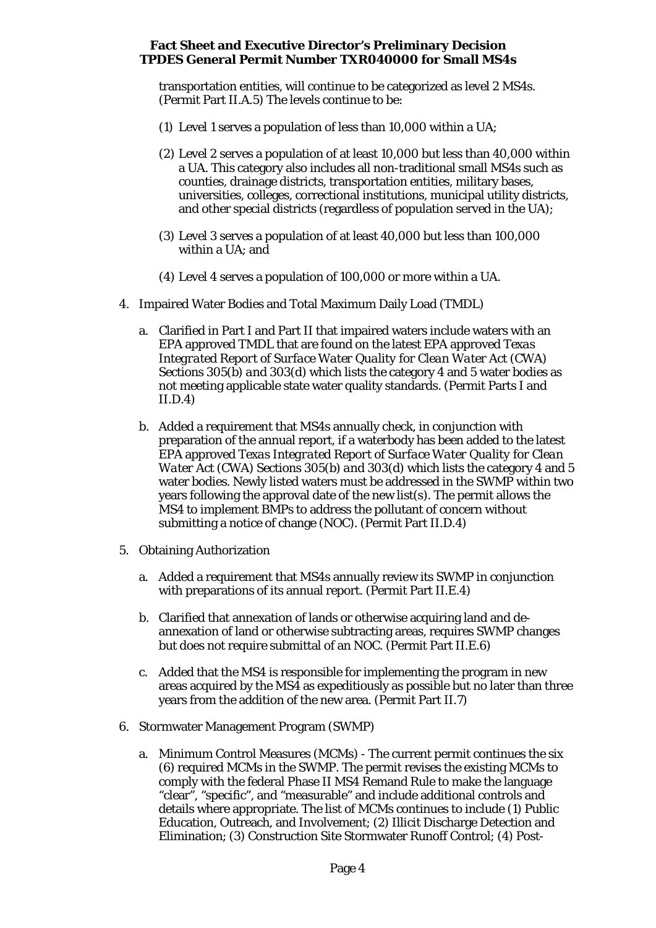transportation entities, will continue to be categorized as level 2 MS4s. (Permit Part II.A.5) The levels continue to be:

- (1) Level 1 serves a population of less than 10,000 within a UA;
- (2) Level 2 serves a population of at least 10,000 but less than 40,000 within a UA. This category also includes all non-traditional small MS4s such as counties, drainage districts, transportation entities, military bases, universities, colleges, correctional institutions, municipal utility districts, and other special districts (regardless of population served in the UA);
- (3) Level 3 serves a population of at least 40,000 but less than 100,000 within a UA; and
- (4) Level 4 serves a population of 100,000 or more within a UA.
- 4. Impaired Water Bodies and Total Maximum Daily Load (TMDL)
	- a. Clarified in Part I and Part II that impaired waters include waters with an EPA approved TMDL that are found on the latest EPA approved *Texas Integrated Report of Surface Water Quality for Clean Water Act (CWA) Sections 305(b) and 303(d)* which lists the category 4 and 5 water bodies as not meeting applicable state water quality standards. (Permit Parts I and II.D.4)
	- b. Added a requirement that MS4s annually check, in conjunction with preparation of the annual report, if a waterbody has been added to the latest EPA approved *Texas Integrated Report of Surface Water Quality for Clean Water Act (CWA) Sections 305(b) and 303(d)* which lists the category 4 and 5 water bodies. Newly listed waters must be addressed in the SWMP within two years following the approval date of the new list(s). The permit allows the MS4 to implement BMPs to address the pollutant of concern without submitting a notice of change (NOC). (Permit Part II.D.4)
- 5. Obtaining Authorization
	- a. Added a requirement that MS4s annually review its SWMP in conjunction with preparations of its annual report. (Permit Part II.E.4)
	- b. Clarified that annexation of lands or otherwise acquiring land and deannexation of land or otherwise subtracting areas, requires SWMP changes but does not require submittal of an NOC. (Permit Part II.E.6)
	- c. Added that the MS4 is responsible for implementing the program in new areas acquired by the MS4 as expeditiously as possible but no later than three years from the addition of the new area. (Permit Part II.7)
- 6. Stormwater Management Program (SWMP)
	- a. Minimum Control Measures (MCMs) The current permit continues the six (6) required MCMs in the SWMP. The permit revises the existing MCMs to comply with the federal Phase II MS4 Remand Rule to make the language "clear", "specific", and "measurable" and include additional controls and details where appropriate. The list of MCMs continues to include (1) Public Education, Outreach, and Involvement; (2) Illicit Discharge Detection and Elimination; (3) Construction Site Stormwater Runoff Control; (4) Post-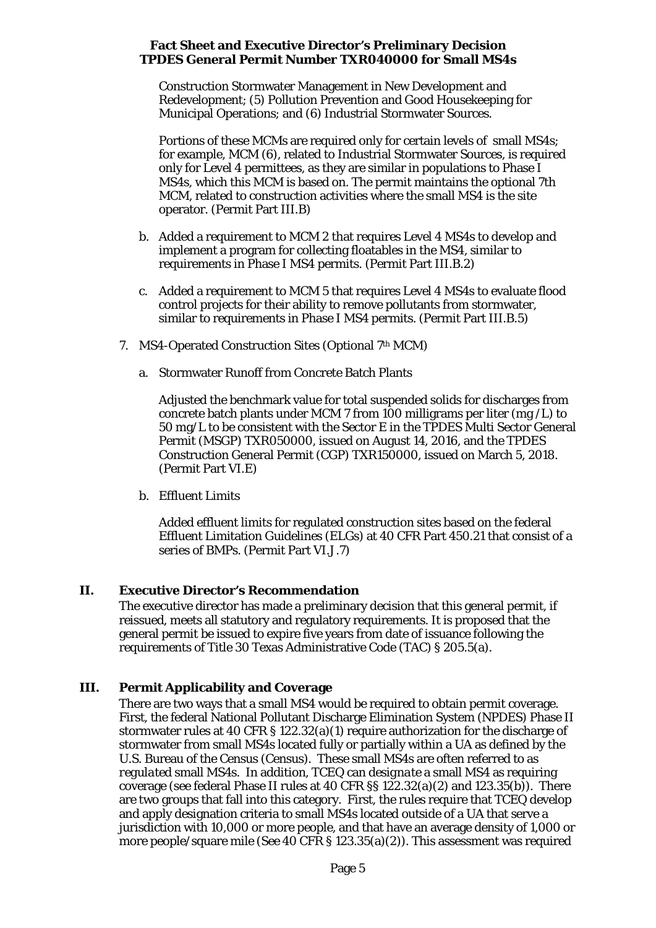Construction Stormwater Management in New Development and Redevelopment; (5) Pollution Prevention and Good Housekeeping for Municipal Operations; and (6) Industrial Stormwater Sources.

Portions of these MCMs are required only for certain levels of small MS4s; for example, MCM (6), related to Industrial Stormwater Sources, is required only for Level 4 permittees, as they are similar in populations to Phase I MS4s, which this MCM is based on. The permit maintains the optional 7th MCM, related to construction activities where the small MS4 is the site operator. (Permit Part III.B)

- b. Added a requirement to MCM 2 that requires Level 4 MS4s to develop and implement a program for collecting floatables in the MS4, similar to requirements in Phase I MS4 permits. (Permit Part III.B.2)
- c. Added a requirement to MCM 5 that requires Level 4 MS4s to evaluate flood control projects for their ability to remove pollutants from stormwater, similar to requirements in Phase I MS4 permits. (Permit Part III.B.5)
- 7. MS4-Operated Construction Sites (Optional 7th MCM)
	- a. Stormwater Runoff from Concrete Batch Plants

Adjusted the benchmark value for total suspended solids for discharges from concrete batch plants under MCM 7 from 100 milligrams per liter (mg /L) to 50 mg/L to be consistent with the Sector E in the TPDES Multi Sector General Permit (MSGP) TXR050000, issued on August 14, 2016, and the TPDES Construction General Permit (CGP) TXR150000, issued on March 5, 2018. (Permit Part VI.E)

b. Effluent Limits

Added effluent limits for regulated construction sites based on the federal Effluent Limitation Guidelines (ELGs) at 40 CFR Part 450.21 that consist of a series of BMPs. (Permit Part VI.J.7)

# <span id="page-4-0"></span>**II. Executive Director's Recommendation**

The executive director has made a preliminary decision that this general permit, if reissued, meets all statutory and regulatory requirements. It is proposed that the general permit be issued to expire five years from date of issuance following the requirements of Title 30 Texas Administrative Code (TAC) § 205.5(a).

# <span id="page-4-1"></span>**III. Permit Applicability and Coverage**

There are two ways that a small MS4 would be required to obtain permit coverage. First, the federal National Pollutant Discharge Elimination System (NPDES) Phase II stormwater rules at 40 CFR § 122.32(a)(1) require authorization for the discharge of stormwater from small MS4s located fully or partially within a UA as defined by the U.S. Bureau of the Census (Census). These small MS4s are often referred to as *regulated* small MS4s. In addition, TCEQ can *designate* a small MS4 as requiring coverage (see federal Phase II rules at 40 CFR §§ 122.32(a)(2) and 123.35(b)). There are two groups that fall into this category. First, the rules require that TCEQ develop and apply designation criteria to small MS4s located outside of a UA that serve a jurisdiction with 10,000 or more people, and that have an average density of 1,000 or more people/square mile (*See* 40 CFR § 123.35(a)(2)). This assessment was required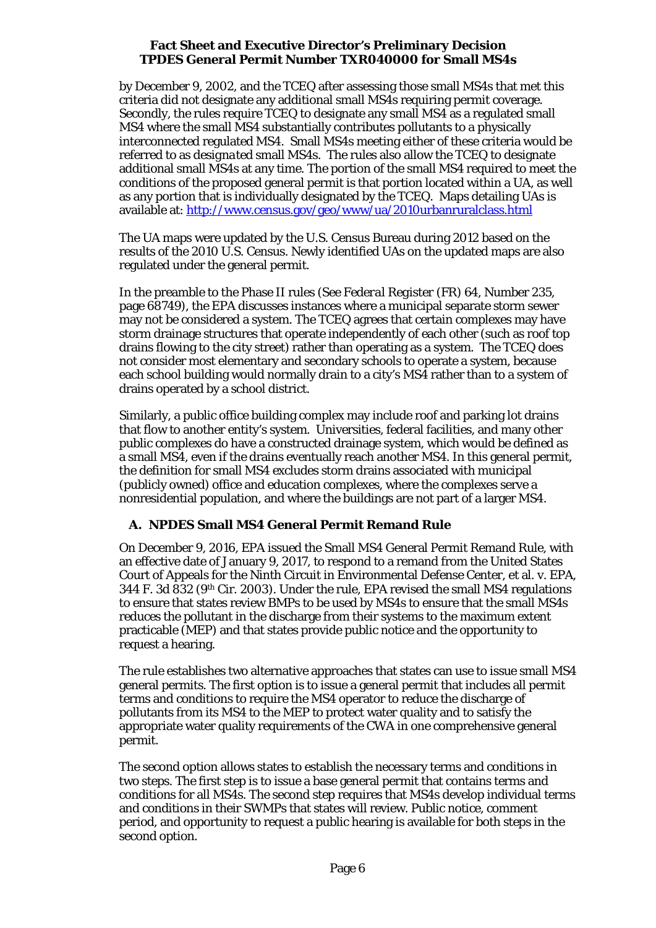by December 9, 2002, and the TCEQ after assessing those small MS4s that met this criteria did not designate any additional small MS4s requiring permit coverage. Secondly, the rules require TCEQ to designate any small MS4 as a regulated small MS4 where the small MS4 substantially contributes pollutants to a physically interconnected regulated MS4. Small MS4s meeting either of these criteria would be referred to as *designated* small MS4s. The rules also allow the TCEQ to designate additional small MS4s at any time. The portion of the small MS4 required to meet the conditions of the proposed general permit is that portion located within a UA, as well as any portion that is individually designated by the TCEQ. Maps detailing UAs is available at:<http://www.census.gov/geo/www/ua/2010urbanruralclass.html>

The UA maps were updated by the U.S. Census Bureau during 2012 based on the results of the 2010 U.S. Census. Newly identified UAs on the updated maps are also regulated under the general permit.

In the preamble to the Phase II rules (See *Federal Register* (FR) 64, Number 235, page 68749), the EPA discusses instances where a municipal separate storm sewer may not be considered a system. The TCEQ agrees that certain complexes may have storm drainage structures that operate independently of each other (such as roof top drains flowing to the city street) rather than operating as a system. The TCEQ does not consider most elementary and secondary schools to operate a system, because each school building would normally drain to a city's MS4 rather than to a system of drains operated by a school district.

Similarly, a public office building complex may include roof and parking lot drains that flow to another entity's system. Universities, federal facilities, and many other public complexes do have a constructed drainage system, which would be defined as a small MS4, even if the drains eventually reach another MS4. In this general permit, the definition for small MS4 excludes storm drains associated with municipal (publicly owned) office and education complexes, where the complexes serve a nonresidential population, and where the buildings are not part of a larger MS4.

# **A. NPDES Small MS4 General Permit Remand Rule**

<span id="page-5-0"></span>On December 9, 2016, EPA issued the Small MS4 General Permit Remand Rule, with an effective date of January 9, 2017, to respond to a remand from the United States Court of Appeals for the Ninth Circuit in Environmental Defense Center, et al. v. EPA, 344 F. 3d 832 (9th Cir. 2003). Under the rule, EPA revised the small MS4 regulations to ensure that states review BMPs to be used by MS4s to ensure that the small MS4s reduces the pollutant in the discharge from their systems to the maximum extent practicable (MEP) and that states provide public notice and the opportunity to request a hearing.

The rule establishes two alternative approaches that states can use to issue small MS4 general permits. The first option is to issue a general permit that includes all permit terms and conditions to require the MS4 operator to reduce the discharge of pollutants from its MS4 to the MEP to protect water quality and to satisfy the appropriate water quality requirements of the CWA in one comprehensive general permit.

The second option allows states to establish the necessary terms and conditions in two steps. The first step is to issue a base general permit that contains terms and conditions for all MS4s. The second step requires that MS4s develop individual terms and conditions in their SWMPs that states will review. Public notice, comment period, and opportunity to request a public hearing is available for both steps in the second option.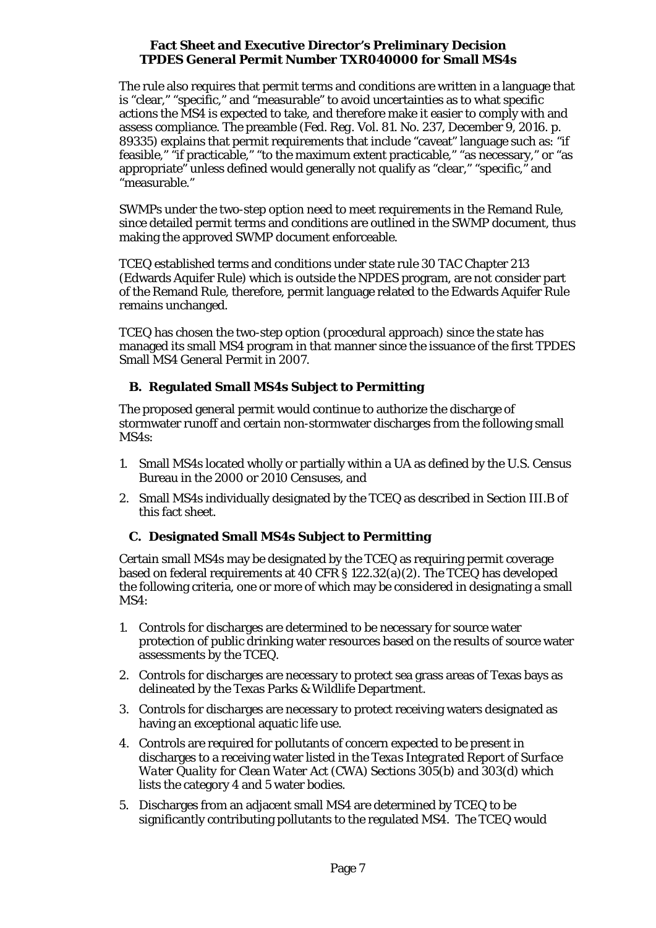The rule also requires that permit terms and conditions are written in a language that is "clear," "specific," and "measurable" to avoid uncertainties as to what specific actions the MS4 is expected to take, and therefore make it easier to comply with and assess compliance. The preamble (*Fed. Reg.* Vol. 81. No. 237, December 9, 2016. p. 89335) explains that permit requirements that include "caveat" language such as: "if feasible," "if practicable," "to the maximum extent practicable," "as necessary," or "as appropriate" unless defined would generally not qualify as "clear," "specific," and "measurable."

SWMPs under the two-step option need to meet requirements in the Remand Rule, since detailed permit terms and conditions are outlined in the SWMP document, thus making the approved SWMP document enforceable.

TCEQ established terms and conditions under state rule 30 TAC Chapter 213 (Edwards Aquifer Rule) which is outside the NPDES program, are not consider part of the Remand Rule, therefore, permit language related to the Edwards Aquifer Rule remains unchanged.

TCEQ has chosen the two-step option (procedural approach) since the state has managed its small MS4 program in that manner since the issuance of the first TPDES Small MS4 General Permit in 2007.

# **B. Regulated Small MS4s Subject to Permitting**

<span id="page-6-0"></span>The proposed general permit would continue to authorize the discharge of stormwater runoff and certain non-stormwater discharges from the following small MS4s:

- 1. Small MS4s located wholly or partially within a UA as defined by the U.S. Census Bureau in the 2000 or 2010 Censuses, and
- 2. Small MS4s individually designated by the TCEQ as described in Section III.B of this fact sheet.

# **C. Designated Small MS4s Subject to Permitting**

<span id="page-6-1"></span>Certain small MS4s may be designated by the TCEQ as requiring permit coverage based on federal requirements at 40 CFR § 122.32(a)(2). The TCEQ has developed the following criteria, one or more of which may be considered in designating a small MS4:

- 1. Controls for discharges are determined to be necessary for source water protection of public drinking water resources based on the results of source water assessments by the TCEQ.
- 2. Controls for discharges are necessary to protect sea grass areas of Texas bays as delineated by the Texas Parks & Wildlife Department.
- 3. Controls for discharges are necessary to protect receiving waters designated as having an exceptional aquatic life use.
- 4. Controls are required for pollutants of concern expected to be present in discharges to a receiving water listed in the *Texas Integrated Report of Surface Water Quality for Clean Water Act (CWA) Sections 305(b) and 303(d)* which lists the category 4 and 5 water bodies.
- 5. Discharges from an adjacent small MS4 are determined by TCEQ to be significantly contributing pollutants to the regulated MS4. The TCEQ would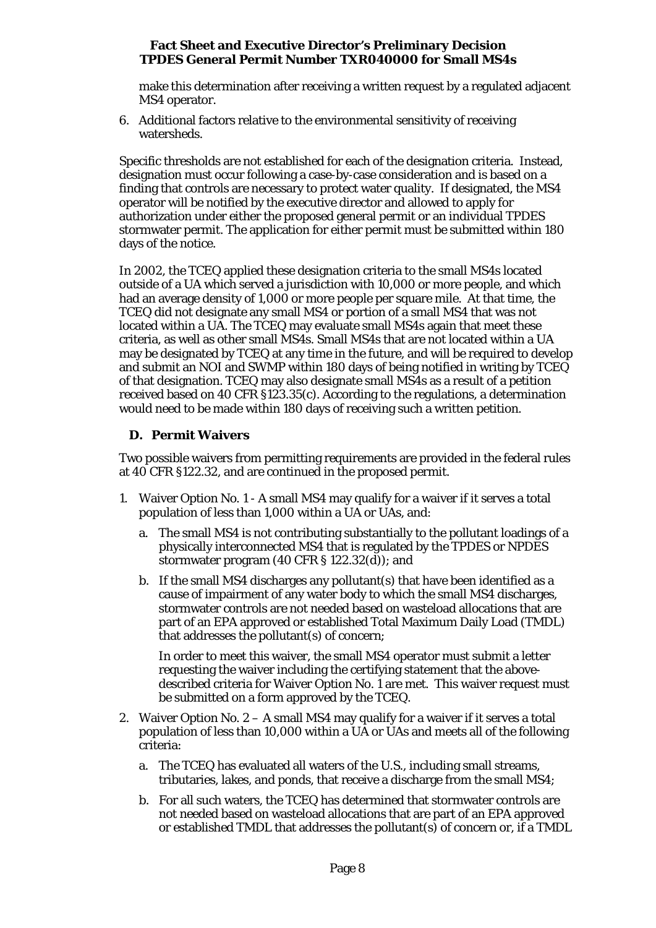make this determination after receiving a written request by a regulated adjacent MS4 operator.

6. Additional factors relative to the environmental sensitivity of receiving watersheds.

Specific thresholds are not established for each of the designation criteria. Instead, designation must occur following a case-by-case consideration and is based on a finding that controls are necessary to protect water quality. If designated, the MS4 operator will be notified by the executive director and allowed to apply for authorization under either the proposed general permit or an individual TPDES stormwater permit. The application for either permit must be submitted within 180 days of the notice.

In 2002, the TCEQ applied these designation criteria to the small MS4s located outside of a UA which served a jurisdiction with 10,000 or more people, and which had an average density of 1,000 or more people per square mile. At that time, the TCEQ did not designate any small MS4 or portion of a small MS4 that was not located within a UA. The TCEQ may evaluate small MS4s again that meet these criteria, as well as other small MS4s. Small MS4s that are not located within a UA may be designated by TCEQ at any time in the future, and will be required to develop and submit an NOI and SWMP within 180 days of being notified in writing by TCEQ of that designation. TCEQ may also designate small MS4s as a result of a petition received based on 40 CFR §123.35(c). According to the regulations, a determination would need to be made within 180 days of receiving such a written petition.

# **D. Permit Waivers**

<span id="page-7-0"></span>Two possible waivers from permitting requirements are provided in the federal rules at 40 CFR §122.32, and are continued in the proposed permit.

- 1. Waiver Option No. 1 A small MS4 may qualify for a waiver if it serves a total population of less than 1,000 within a UA or UAs, and:
	- a. The small MS4 is not contributing substantially to the pollutant loadings of a physically interconnected MS4 that is regulated by the TPDES or NPDES stormwater program (40 CFR § 122.32(d)); and
	- b. If the small MS4 discharges any pollutant(s) that have been identified as a cause of impairment of any water body to which the small MS4 discharges, stormwater controls are not needed based on wasteload allocations that are part of an EPA approved or established Total Maximum Daily Load (TMDL) that addresses the pollutant(s) of concern;

In order to meet this waiver, the small MS4 operator must submit a letter requesting the waiver including the certifying statement that the abovedescribed criteria for Waiver Option No. 1 are met. This waiver request must be submitted on a form approved by the TCEQ.

- 2. Waiver Option No. 2 A small MS4 may qualify for a waiver if it serves a total population of less than 10,000 within a UA or UAs and meets all of the following criteria:
	- a. The TCEQ has evaluated all waters of the U.S., including small streams, tributaries, lakes, and ponds, that receive a discharge from the small MS4;
	- b. For all such waters, the TCEQ has determined that stormwater controls are not needed based on wasteload allocations that are part of an EPA approved or established TMDL that addresses the pollutant(s) of concern or, if a TMDL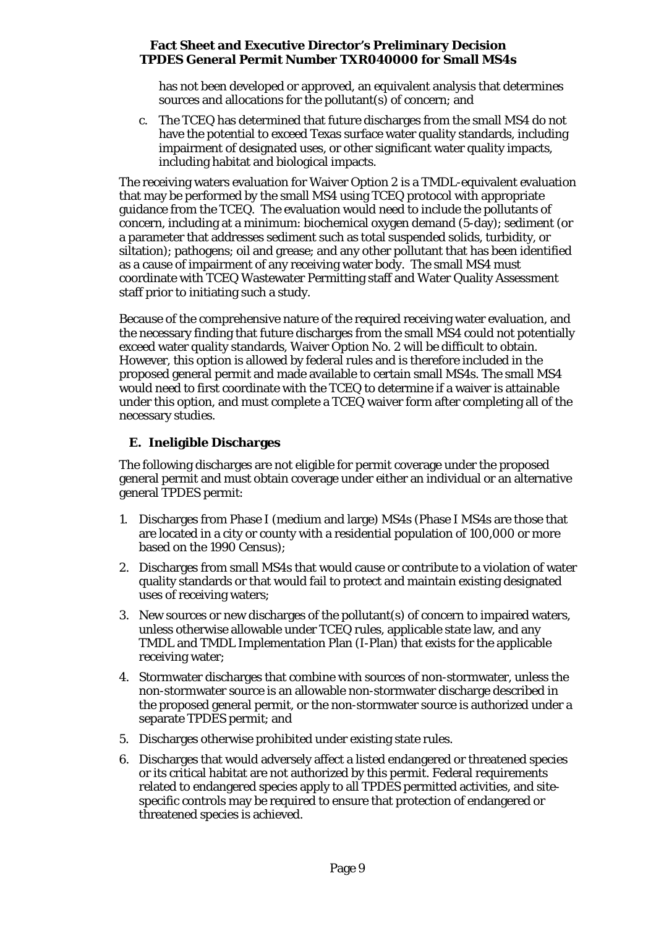has not been developed or approved, an equivalent analysis that determines sources and allocations for the pollutant(s) of concern; and

c. The TCEQ has determined that future discharges from the small MS4 do not have the potential to exceed Texas surface water quality standards, including impairment of designated uses, or other significant water quality impacts, including habitat and biological impacts.

The receiving waters evaluation for Waiver Option 2 is a TMDL-equivalent evaluation that may be performed by the small MS4 using TCEQ protocol with appropriate guidance from the TCEQ. The evaluation would need to include the pollutants of concern, including at a minimum: biochemical oxygen demand (5-day); sediment (or a parameter that addresses sediment such as total suspended solids, turbidity, or siltation); pathogens; oil and grease; and any other pollutant that has been identified as a cause of impairment of any receiving water body. The small MS4 must coordinate with TCEQ Wastewater Permitting staff and Water Quality Assessment staff prior to initiating such a study.

Because of the comprehensive nature of the required receiving water evaluation, and the necessary finding that future discharges from the small MS4 could not potentially exceed water quality standards, Waiver Option No. 2 will be difficult to obtain. However, this option is allowed by federal rules and is therefore included in the proposed general permit and made available to certain small MS4s. The small MS4 would need to first coordinate with the TCEQ to determine if a waiver is attainable under this option, and must complete a TCEQ waiver form after completing all of the necessary studies.

# **E. Ineligible Discharges**

<span id="page-8-0"></span>The following discharges are not eligible for permit coverage under the proposed general permit and must obtain coverage under either an individual or an alternative general TPDES permit:

- 1. Discharges from Phase I (medium and large) MS4s (Phase I MS4s are those that are located in a city or county with a residential population of 100,000 or more based on the 1990 Census);
- 2. Discharges from small MS4s that would cause or contribute to a violation of water quality standards or that would fail to protect and maintain existing designated uses of receiving waters;
- 3. New sources or new discharges of the pollutant(s) of concern to impaired waters, unless otherwise allowable under TCEQ rules, applicable state law, and any TMDL and TMDL Implementation Plan (I-Plan) that exists for the applicable receiving water;
- 4. Stormwater discharges that combine with sources of non-stormwater, unless the non-stormwater source is an allowable non-stormwater discharge described in the proposed general permit, or the non-stormwater source is authorized under a separate TPDES permit; and
- 5. Discharges otherwise prohibited under existing state rules.
- 6. Discharges that would adversely affect a listed endangered or threatened species or its critical habitat are not authorized by this permit. Federal requirements related to endangered species apply to all TPDES permitted activities, and sitespecific controls may be required to ensure that protection of endangered or threatened species is achieved.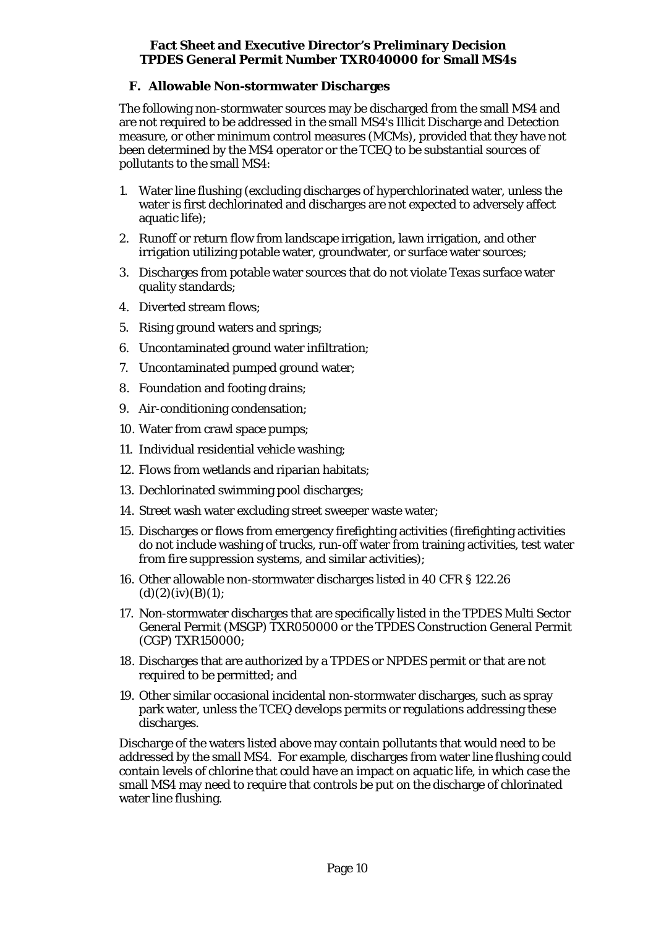# **F. Allowable Non-stormwater Discharges**

<span id="page-9-0"></span>The following non-stormwater sources may be discharged from the small MS4 and are not required to be addressed in the small MS4's Illicit Discharge and Detection measure, or other minimum control measures (MCMs), provided that they have not been determined by the MS4 operator or the TCEQ to be substantial sources of pollutants to the small MS4:

- 1. Water line flushing (excluding discharges of hyperchlorinated water, unless the water is first dechlorinated and discharges are not expected to adversely affect aquatic life);
- 2. Runoff or return flow from landscape irrigation, lawn irrigation, and other irrigation utilizing potable water, groundwater, or surface water sources;
- 3. Discharges from potable water sources that do not violate Texas surface water quality standards;
- 4. Diverted stream flows;
- 5. Rising ground waters and springs;
- 6. Uncontaminated ground water infiltration;
- 7. Uncontaminated pumped ground water;
- 8. Foundation and footing drains;
- 9. Air-conditioning condensation;
- 10. Water from crawl space pumps;
- 11. Individual residential vehicle washing;
- 12. Flows from wetlands and riparian habitats;
- 13. Dechlorinated swimming pool discharges;
- 14. Street wash water excluding street sweeper waste water;
- 15. Discharges or flows from emergency firefighting activities (firefighting activities do not include washing of trucks, run-off water from training activities, test water from fire suppression systems, and similar activities);
- 16. Other allowable non-stormwater discharges listed in 40 CFR § 122.26  $(d)(2)(iv)(B)(1);$
- 17. Non-stormwater discharges that are specifically listed in the TPDES Multi Sector General Permit (MSGP) TXR050000 or the TPDES Construction General Permit (CGP) TXR150000;
- 18. Discharges that are authorized by a TPDES or NPDES permit or that are not required to be permitted; and
- 19. Other similar occasional incidental non-stormwater discharges, such as spray park water, unless the TCEQ develops permits or regulations addressing these discharges.

Discharge of the waters listed above may contain pollutants that would need to be addressed by the small MS4. For example, discharges from water line flushing could contain levels of chlorine that could have an impact on aquatic life, in which case the small MS4 may need to require that controls be put on the discharge of chlorinated water line flushing.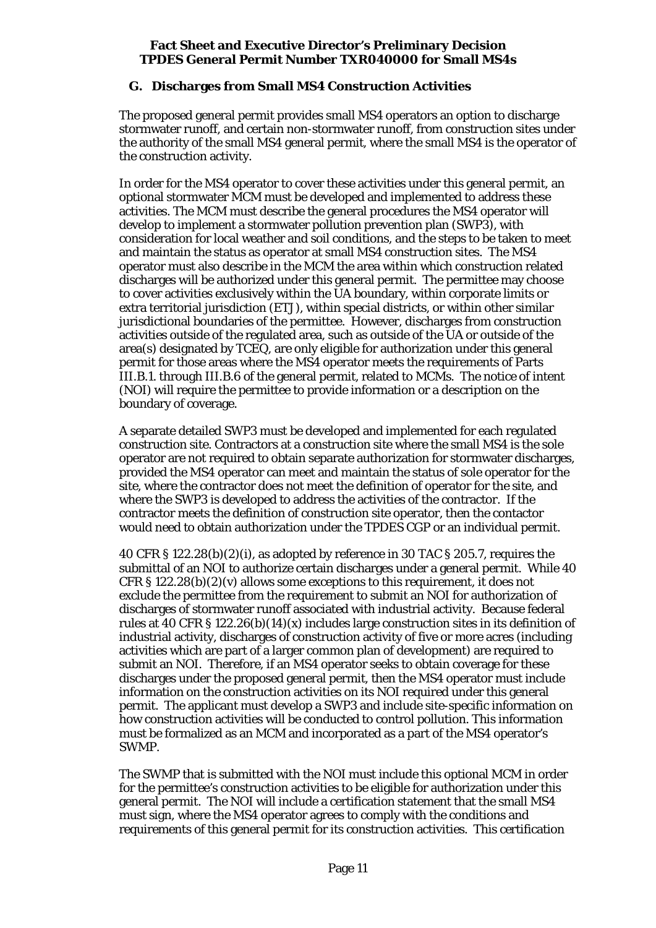# **G. Discharges from Small MS4 Construction Activities**

<span id="page-10-0"></span>The proposed general permit provides small MS4 operators an option to discharge stormwater runoff, and certain non-stormwater runoff, from construction sites under the authority of the small MS4 general permit, where the small MS4 is the operator of the construction activity.

In order for the MS4 operator to cover these activities under this general permit, an optional stormwater MCM must be developed and implemented to address these activities. The MCM must describe the general procedures the MS4 operator will develop to implement a stormwater pollution prevention plan (SWP3), with consideration for local weather and soil conditions, and the steps to be taken to meet and maintain the status as operator at small MS4 construction sites. The MS4 operator must also describe in the MCM the area within which construction related discharges will be authorized under this general permit. The permittee may choose to cover activities exclusively within the UA boundary, within corporate limits or extra territorial jurisdiction (ETJ), within special districts, or within other similar jurisdictional boundaries of the permittee. However, discharges from construction activities outside of the regulated area, such as outside of the UA or outside of the area(s) designated by TCEQ, are only eligible for authorization under this general permit for those areas where the MS4 operator meets the requirements of Parts III.B.1. through III.B.6 of the general permit, related to MCMs. The notice of intent (NOI) will require the permittee to provide information or a description on the boundary of coverage.

A separate detailed SWP3 must be developed and implemented for each regulated construction site. Contractors at a construction site where the small MS4 is the sole operator are not required to obtain separate authorization for stormwater discharges, provided the MS4 operator can meet and maintain the status of sole operator for the site, where the contractor does not meet the definition of operator for the site, and where the SWP3 is developed to address the activities of the contractor. If the contractor meets the definition of construction site operator, then the contactor would need to obtain authorization under the TPDES CGP or an individual permit.

40 CFR § 122.28(b)(2)(i), as adopted by reference in 30 TAC § 205.7, requires the submittal of an NOI to authorize certain discharges under a general permit. While 40 CFR § 122.28(b)(2)(v) allows some exceptions to this requirement, it does not exclude the permittee from the requirement to submit an NOI for authorization of discharges of stormwater runoff associated with industrial activity. Because federal rules at 40 CFR § 122.26(b)(14)(x) includes large construction sites in its definition of industrial activity, discharges of construction activity of five or more acres (including activities which are part of a larger common plan of development) are required to submit an NOI. Therefore, if an MS4 operator seeks to obtain coverage for these discharges under the proposed general permit, then the MS4 operator must include information on the construction activities on its NOI required under this general permit. The applicant must develop a SWP3 and include site-specific information on how construction activities will be conducted to control pollution. This information must be formalized as an MCM and incorporated as a part of the MS4 operator's SWMP.

The SWMP that is submitted with the NOI must include this optional MCM in order for the permittee's construction activities to be eligible for authorization under this general permit. The NOI will include a certification statement that the small MS4 must sign, where the MS4 operator agrees to comply with the conditions and requirements of this general permit for its construction activities. This certification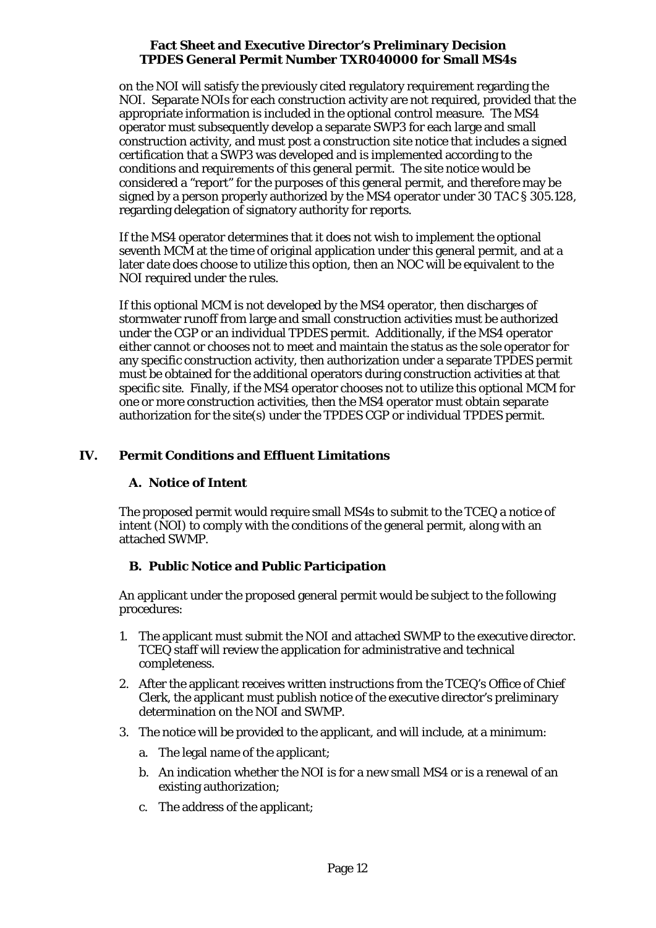on the NOI will satisfy the previously cited regulatory requirement regarding the NOI. Separate NOIs for each construction activity are not required, provided that the appropriate information is included in the optional control measure. The MS4 operator must subsequently develop a separate SWP3 for each large and small construction activity, and must post a construction site notice that includes a signed certification that a SWP3 was developed and is implemented according to the conditions and requirements of this general permit. The site notice would be considered a "report" for the purposes of this general permit, and therefore may be signed by a person properly authorized by the MS4 operator under 30 TAC § 305.128, regarding delegation of signatory authority for reports.

If the MS4 operator determines that it does not wish to implement the optional seventh MCM at the time of original application under this general permit, and at a later date does choose to utilize this option, then an NOC will be equivalent to the NOI required under the rules.

If this optional MCM is not developed by the MS4 operator, then discharges of stormwater runoff from large and small construction activities must be authorized under the CGP or an individual TPDES permit. Additionally, if the MS4 operator either cannot or chooses not to meet and maintain the status as the sole operator for any specific construction activity, then authorization under a separate TPDES permit must be obtained for the additional operators during construction activities at that specific site. Finally, if the MS4 operator chooses not to utilize this optional MCM for one or more construction activities, then the MS4 operator must obtain separate authorization for the site(s) under the TPDES CGP or individual TPDES permit.

# <span id="page-11-1"></span><span id="page-11-0"></span>**IV. Permit Conditions and Effluent Limitations**

# **A. Notice of Intent**

The proposed permit would require small MS4s to submit to the TCEQ a notice of intent (NOI) to comply with the conditions of the general permit, along with an attached SWMP.

# <span id="page-11-2"></span>**B. Public Notice and Public Participation**

An applicant under the proposed general permit would be subject to the following procedures:

- 1. The applicant must submit the NOI and attached SWMP to the executive director. TCEQ staff will review the application for administrative and technical completeness.
- 2. After the applicant receives written instructions from the TCEQ's Office of Chief Clerk, the applicant must publish notice of the executive director's preliminary determination on the NOI and SWMP.
- 3. The notice will be provided to the applicant, and will include, at a minimum:
	- a. The legal name of the applicant;
	- b. An indication whether the NOI is for a new small MS4 or is a renewal of an existing authorization;
	- c. The address of the applicant;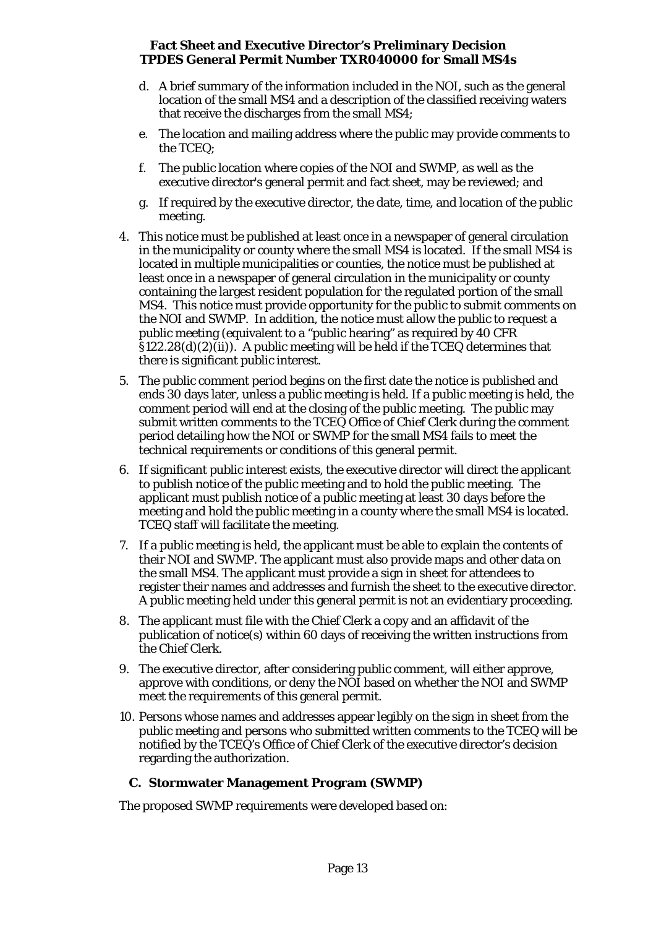- d. A brief summary of the information included in the NOI, such as the general location of the small MS4 and a description of the classified receiving waters that receive the discharges from the small MS4;
- e. The location and mailing address where the public may provide comments to the TCEQ;
- f. The public location where copies of the NOI and SWMP, as well as the executive director's general permit and fact sheet, may be reviewed; and
- g. If required by the executive director, the date, time, and location of the public meeting.
- 4. This notice must be published at least once in a newspaper of general circulation in the municipality or county where the small MS4 is located. If the small MS4 is located in multiple municipalities or counties, the notice must be published at least once in a newspaper of general circulation in the municipality or county containing the largest resident population for the regulated portion of the small MS4. This notice must provide opportunity for the public to submit comments on the NOI and SWMP. In addition, the notice must allow the public to request a public meeting (equivalent to a "public hearing" as required by 40 CFR  $\S122.28(d)(2)(ii)$ . A public meeting will be held if the TCEQ determines that there is significant public interest.
- 5. The public comment period begins on the first date the notice is published and ends 30 days later, unless a public meeting is held. If a public meeting is held, the comment period will end at the closing of the public meeting. The public may submit written comments to the TCEQ Office of Chief Clerk during the comment period detailing how the NOI or SWMP for the small MS4 fails to meet the technical requirements or conditions of this general permit.
- 6. If significant public interest exists, the executive director will direct the applicant to publish notice of the public meeting and to hold the public meeting. The applicant must publish notice of a public meeting at least 30 days before the meeting and hold the public meeting in a county where the small MS4 is located. TCEQ staff will facilitate the meeting.
- 7. If a public meeting is held, the applicant must be able to explain the contents of their NOI and SWMP. The applicant must also provide maps and other data on the small MS4. The applicant must provide a sign in sheet for attendees to register their names and addresses and furnish the sheet to the executive director. A public meeting held under this general permit is not an evidentiary proceeding.
- 8. The applicant must file with the Chief Clerk a copy and an affidavit of the publication of notice(s) within 60 days of receiving the written instructions from the Chief Clerk.
- 9. The executive director, after considering public comment, will either approve, approve with conditions, or deny the NOI based on whether the NOI and SWMP meet the requirements of this general permit.
- 10. Persons whose names and addresses appear legibly on the sign in sheet from the public meeting and persons who submitted written comments to the TCEQ will be notified by the TCEQ's Office of Chief Clerk of the executive director's decision regarding the authorization.

# **C. Stormwater Management Program (SWMP)**

<span id="page-12-0"></span>The proposed SWMP requirements were developed based on: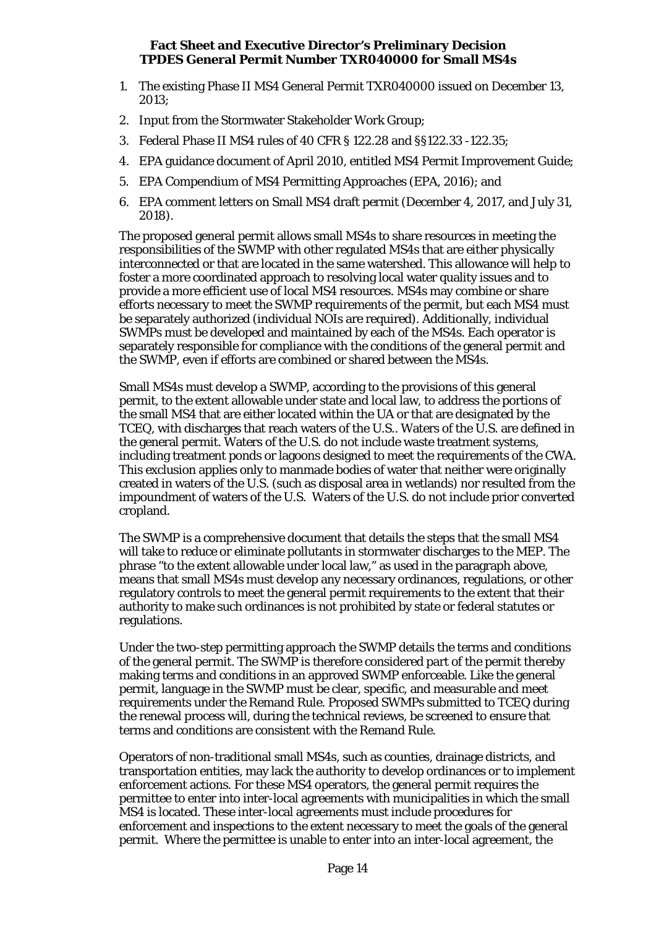- 1. The existing Phase II MS4 General Permit TXR040000 issued on December 13, 2013;
- 2. Input from the Stormwater Stakeholder Work Group;
- 3. Federal Phase II MS4 rules of 40 CFR § 122.28 and §§122.33 -122.35;
- 4. EPA guidance document of April 2010, entitled MS4 Permit Improvement Guide;
- 5. EPA Compendium of MS4 Permitting Approaches (EPA, 2016); and
- 6. EPA comment letters on Small MS4 draft permit (December 4, 2017, and July 31, 2018).

The proposed general permit allows small MS4s to share resources in meeting the responsibilities of the SWMP with other regulated MS4s that are either physically interconnected or that are located in the same watershed. This allowance will help to foster a more coordinated approach to resolving local water quality issues and to provide a more efficient use of local MS4 resources. MS4s may combine or share efforts necessary to meet the SWMP requirements of the permit, but each MS4 must be separately authorized (individual NOIs are required). Additionally, individual SWMPs must be developed and maintained by each of the MS4s. Each operator is separately responsible for compliance with the conditions of the general permit and the SWMP, even if efforts are combined or shared between the MS4s.

Small MS4s must develop a SWMP, according to the provisions of this general permit, to the extent allowable under state and local law, to address the portions of the small MS4 that are either located within the UA or that are designated by the TCEQ, with discharges that reach waters of the U.S.. Waters of the U.S. are defined in the general permit. Waters of the U.S. do not include waste treatment systems, including treatment ponds or lagoons designed to meet the requirements of the CWA. This exclusion applies only to manmade bodies of water that neither were originally created in waters of the U.S. (such as disposal area in wetlands) nor resulted from the impoundment of waters of the U.S. Waters of the U.S. do not include prior converted cropland.

The SWMP is a comprehensive document that details the steps that the small MS4 will take to reduce or eliminate pollutants in stormwater discharges to the MEP. The phrase "to the extent allowable under local law," as used in the paragraph above, means that small MS4s must develop any necessary ordinances, regulations, or other regulatory controls to meet the general permit requirements to the extent that their authority to make such ordinances is not prohibited by state or federal statutes or regulations.

Under the two-step permitting approach the SWMP details the terms and conditions of the general permit. The SWMP is therefore considered part of the permit thereby making terms and conditions in an approved SWMP enforceable. Like the general permit, language in the SWMP must be clear, specific, and measurable and meet requirements under the Remand Rule. Proposed SWMPs submitted to TCEQ during the renewal process will, during the technical reviews, be screened to ensure that terms and conditions are consistent with the Remand Rule.

Operators of non-traditional small MS4s, such as counties, drainage districts, and transportation entities, may lack the authority to develop ordinances or to implement enforcement actions. For these MS4 operators, the general permit requires the permittee to enter into inter-local agreements with municipalities in which the small MS4 is located. These inter-local agreements must include procedures for enforcement and inspections to the extent necessary to meet the goals of the general permit. Where the permittee is unable to enter into an inter-local agreement, the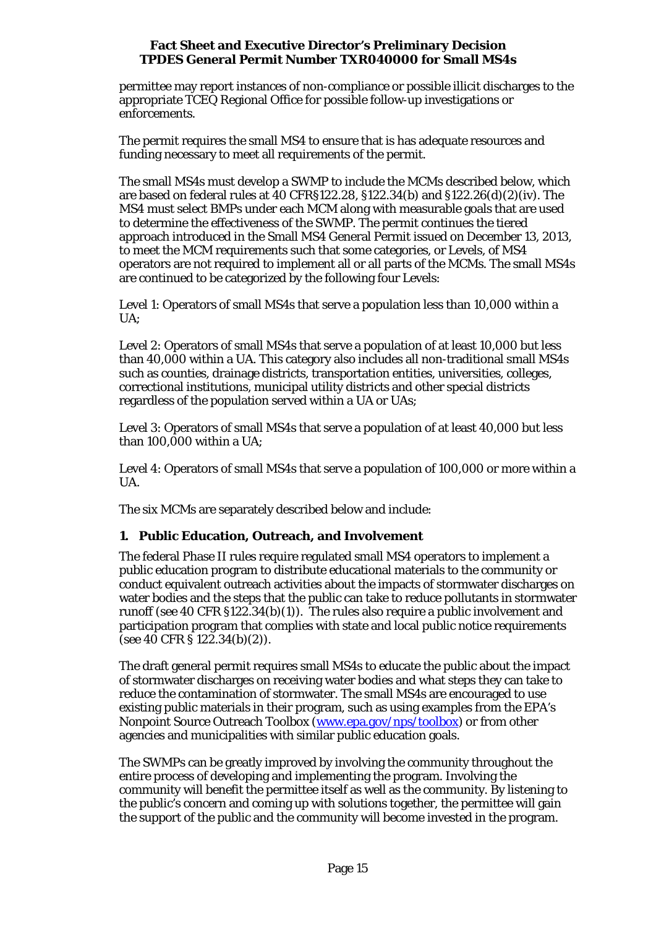permittee may report instances of non-compliance or possible illicit discharges to the appropriate TCEQ Regional Office for possible follow-up investigations or enforcements.

The permit requires the small MS4 to ensure that is has adequate resources and funding necessary to meet all requirements of the permit.

The small MS4s must develop a SWMP to include the MCMs described below, which are based on federal rules at 40 CFR§122.28, §122.34(b) and §122.26(d)(2)(iv). The MS4 must select BMPs under each MCM along with measurable goals that are used to determine the effectiveness of the SWMP. The permit continues the tiered approach introduced in the Small MS4 General Permit issued on December 13, 2013, to meet the MCM requirements such that some categories, or Levels, of MS4 operators are not required to implement all or all parts of the MCMs. The small MS4s are continued to be categorized by the following four Levels:

Level 1: Operators of small MS4s that serve a population less than 10,000 within a UA;

Level 2: Operators of small MS4s that serve a population of at least 10,000 but less than 40,000 within a UA. This category also includes all non-traditional small MS4s such as counties, drainage districts, transportation entities, universities, colleges, correctional institutions, municipal utility districts and other special districts regardless of the population served within a UA or UAs;

Level 3: Operators of small MS4s that serve a population of at least 40,000 but less than 100,000 within a UA;

Level 4: Operators of small MS4s that serve a population of 100,000 or more within a UA.

The six MCMs are separately described below and include:

# **1. Public Education, Outreach, and Involvement**

The federal Phase II rules require regulated small MS4 operators to implement a public education program to distribute educational materials to the community or conduct equivalent outreach activities about the impacts of stormwater discharges on water bodies and the steps that the public can take to reduce pollutants in stormwater runoff (see 40 CFR §122.34(b)(1)). The rules also require a public involvement and participation program that complies with state and local public notice requirements (see 40 CFR § 122.34(b)(2)).

The draft general permit requires small MS4s to educate the public about the impact of stormwater discharges on receiving water bodies and what steps they can take to reduce the contamination of stormwater. The small MS4s are encouraged to use existing public materials in their program, such as using examples from the EPA's Nonpoint Source Outreach Toolbox [\(www.epa.gov/nps/toolbox\)](http://www.epa.gov/nps/toolbox) or from other agencies and municipalities with similar public education goals.

The SWMPs can be greatly improved by involving the community throughout the entire process of developing and implementing the program. Involving the community will benefit the permittee itself as well as the community. By listening to the public's concern and coming up with solutions together, the permittee will gain the support of the public and the community will become invested in the program.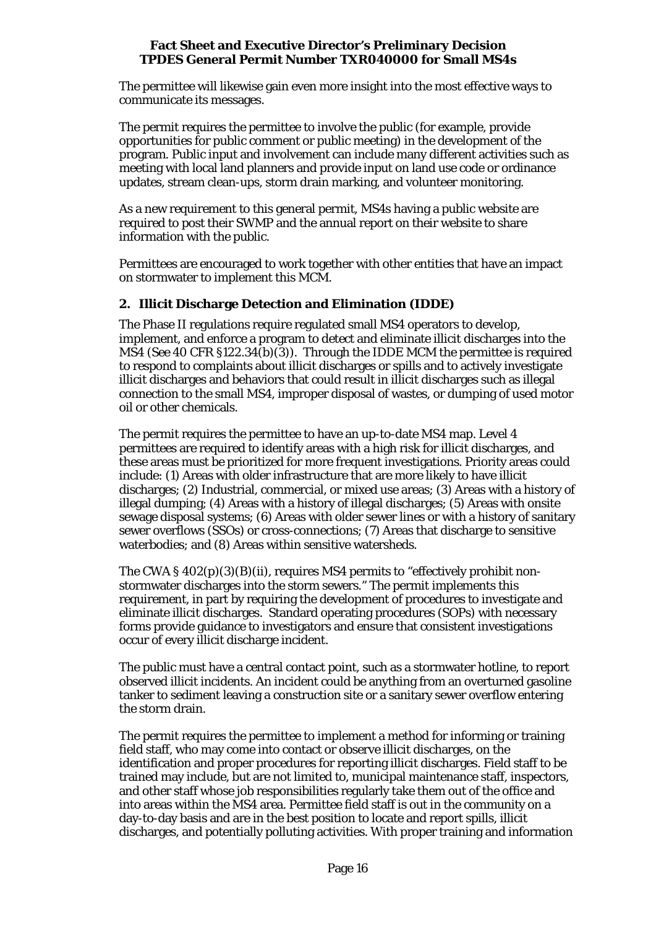The permittee will likewise gain even more insight into the most effective ways to communicate its messages.

The permit requires the permittee to involve the public (for example, provide opportunities for public comment or public meeting) in the development of the program. Public input and involvement can include many different activities such as meeting with local land planners and provide input on land use code or ordinance updates, stream clean-ups, storm drain marking, and volunteer monitoring.

As a new requirement to this general permit, MS4s having a public website are required to post their SWMP and the annual report on their website to share information with the public.

Permittees are encouraged to work together with other entities that have an impact on stormwater to implement this MCM.

# **2. Illicit Discharge Detection and Elimination (IDDE)**

The Phase II regulations require regulated small MS4 operators to develop, implement, and enforce a program to detect and eliminate illicit discharges into the MS4 (*See* 40 CFR §122.34(b)(3)). Through the IDDE MCM the permittee is required to respond to complaints about illicit discharges or spills and to actively investigate illicit discharges and behaviors that could result in illicit discharges such as illegal connection to the small MS4, improper disposal of wastes, or dumping of used motor oil or other chemicals.

The permit requires the permittee to have an up-to-date MS4 map. Level 4 permittees are required to identify areas with a high risk for illicit discharges, and these areas must be prioritized for more frequent investigations. Priority areas could include: (1) Areas with older infrastructure that are more likely to have illicit discharges; (2) Industrial, commercial, or mixed use areas; (3) Areas with a history of illegal dumping; (4) Areas with a history of illegal discharges; (5) Areas with onsite sewage disposal systems; (6) Areas with older sewer lines or with a history of sanitary sewer overflows (SSOs) or cross-connections; (7) Areas that discharge to sensitive waterbodies; and (8) Areas within sensitive watersheds.

The CWA § 402(p)(3)(B)(ii), requires MS4 permits to "effectively prohibit nonstormwater discharges into the storm sewers." The permit implements this requirement, in part by requiring the development of procedures to investigate and eliminate illicit discharges. Standard operating procedures (SOPs) with necessary forms provide guidance to investigators and ensure that consistent investigations occur of every illicit discharge incident.

The public must have a central contact point, such as a stormwater hotline, to report observed illicit incidents. An incident could be anything from an overturned gasoline tanker to sediment leaving a construction site or a sanitary sewer overflow entering the storm drain.

The permit requires the permittee to implement a method for informing or training field staff, who may come into contact or observe illicit discharges, on the identification and proper procedures for reporting illicit discharges. Field staff to be trained may include, but are not limited to, municipal maintenance staff, inspectors, and other staff whose job responsibilities regularly take them out of the office and into areas within the MS4 area. Permittee field staff is out in the community on a day-to-day basis and are in the best position to locate and report spills, illicit discharges, and potentially polluting activities. With proper training and information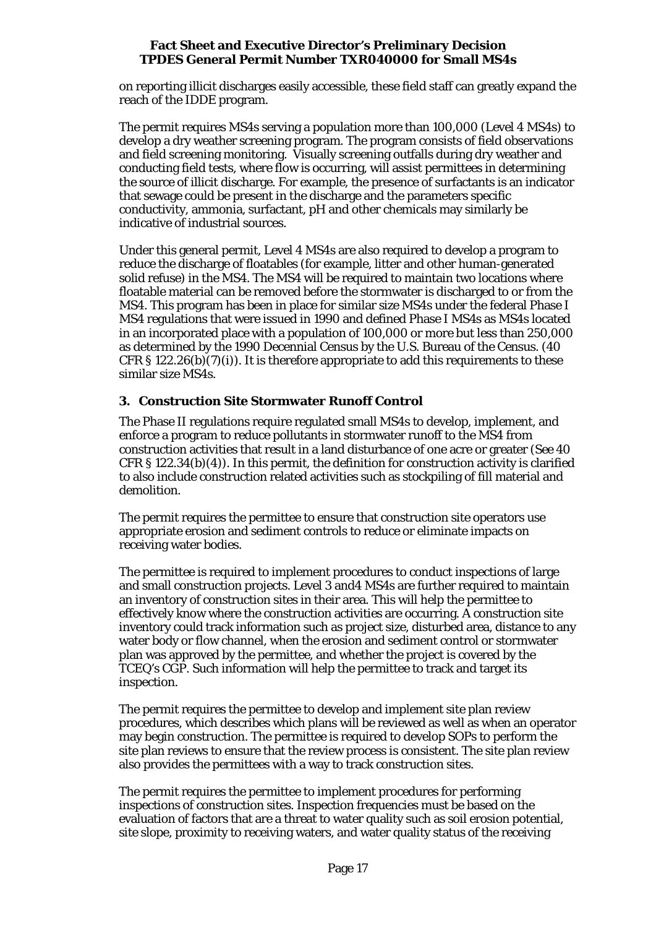on reporting illicit discharges easily accessible, these field staff can greatly expand the reach of the IDDE program.

The permit requires MS4s serving a population more than 100,000 (Level 4 MS4s) to develop a dry weather screening program. The program consists of field observations and field screening monitoring. Visually screening outfalls during dry weather and conducting field tests, where flow is occurring, will assist permittees in determining the source of illicit discharge. For example, the presence of surfactants is an indicator that sewage could be present in the discharge and the parameters specific conductivity, ammonia, surfactant, pH and other chemicals may similarly be indicative of industrial sources.

Under this general permit, Level 4 MS4s are also required to develop a program to reduce the discharge of floatables (for example, litter and other human-generated solid refuse) in the MS4. The MS4 will be required to maintain two locations where floatable material can be removed before the stormwater is discharged to or from the MS4. This program has been in place for similar size MS4s under the federal Phase I MS4 regulations that were issued in 1990 and defined Phase I MS4s as MS4s located in an incorporated place with a population of 100,000 or more but less than 250,000 as determined by the 1990 Decennial Census by the U.S. Bureau of the Census. (40 CFR § 122.26(b)(7)(i)). It is therefore appropriate to add this requirements to these similar size MS4s.

# **3. Construction Site Stormwater Runoff Control**

The Phase II regulations require regulated small MS4s to develop, implement, and enforce a program to reduce pollutants in stormwater runoff to the MS4 from construction activities that result in a land disturbance of one acre or greater (*See* 40 CFR § 122.34(b)(4)). In this permit, the definition for construction activity is clarified to also include construction related activities such as stockpiling of fill material and demolition.

The permit requires the permittee to ensure that construction site operators use appropriate erosion and sediment controls to reduce or eliminate impacts on receiving water bodies.

The permittee is required to implement procedures to conduct inspections of large and small construction projects. Level 3 and4 MS4s are further required to maintain an inventory of construction sites in their area. This will help the permittee to effectively know where the construction activities are occurring. A construction site inventory could track information such as project size, disturbed area, distance to any water body or flow channel, when the erosion and sediment control or stormwater plan was approved by the permittee, and whether the project is covered by the TCEQ's CGP. Such information will help the permittee to track and target its inspection.

The permit requires the permittee to develop and implement site plan review procedures, which describes which plans will be reviewed as well as when an operator may begin construction. The permittee is required to develop SOPs to perform the site plan reviews to ensure that the review process is consistent. The site plan review also provides the permittees with a way to track construction sites.

The permit requires the permittee to implement procedures for performing inspections of construction sites. Inspection frequencies must be based on the evaluation of factors that are a threat to water quality such as soil erosion potential, site slope, proximity to receiving waters, and water quality status of the receiving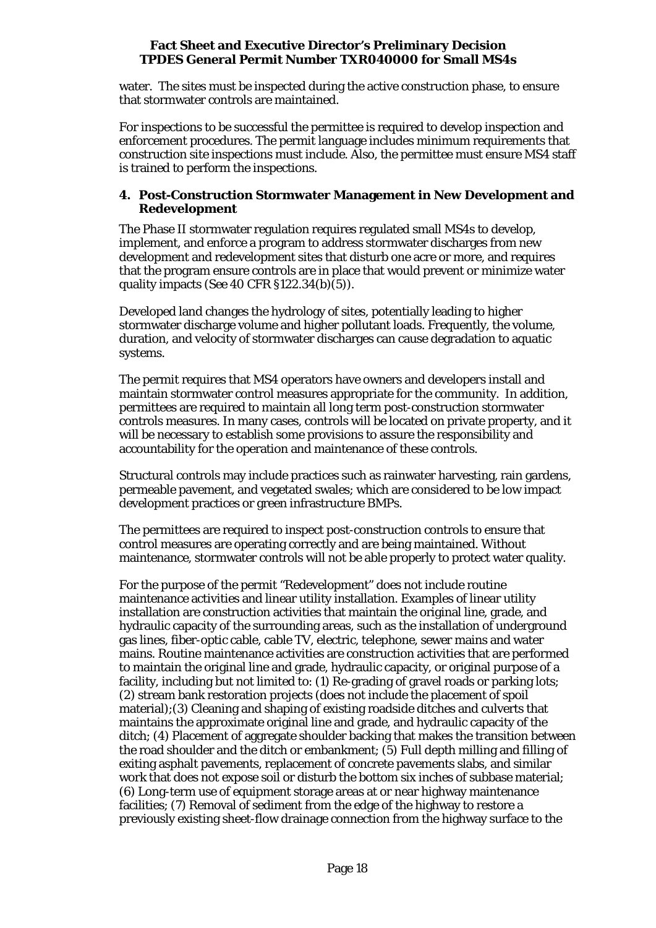water. The sites must be inspected during the active construction phase, to ensure that stormwater controls are maintained.

For inspections to be successful the permittee is required to develop inspection and enforcement procedures. The permit language includes minimum requirements that construction site inspections must include. Also, the permittee must ensure MS4 staff is trained to perform the inspections.

## **4. Post-Construction Stormwater Management in New Development and Redevelopment**

The Phase II stormwater regulation requires regulated small MS4s to develop, implement, and enforce a program to address stormwater discharges from new development and redevelopment sites that disturb one acre or more, and requires that the program ensure controls are in place that would prevent or minimize water quality impacts (*See* 40 CFR §122.34(b)(5)).

Developed land changes the hydrology of sites, potentially leading to higher stormwater discharge volume and higher pollutant loads. Frequently, the volume, duration, and velocity of stormwater discharges can cause degradation to aquatic systems.

The permit requires that MS4 operators have owners and developers install and maintain stormwater control measures appropriate for the community. In addition, permittees are required to maintain all long term post-construction stormwater controls measures. In many cases, controls will be located on private property, and it will be necessary to establish some provisions to assure the responsibility and accountability for the operation and maintenance of these controls.

Structural controls may include practices such as rainwater harvesting, rain gardens, permeable pavement, and vegetated swales; which are considered to be low impact development practices or green infrastructure BMPs.

The permittees are required to inspect post-construction controls to ensure that control measures are operating correctly and are being maintained. Without maintenance, stormwater controls will not be able properly to protect water quality.

For the purpose of the permit "Redevelopment" does not include routine maintenance activities and linear utility installation. Examples of linear utility installation are construction activities that maintain the original line, grade, and hydraulic capacity of the surrounding areas, such as the installation of underground gas lines, fiber-optic cable, cable TV, electric, telephone, sewer mains and water mains. Routine maintenance activities are construction activities that are performed to maintain the original line and grade, hydraulic capacity, or original purpose of a facility, including but not limited to: (1) Re-grading of gravel roads or parking lots; (2) stream bank restoration projects (does not include the placement of spoil material);(3) Cleaning and shaping of existing roadside ditches and culverts that maintains the approximate original line and grade, and hydraulic capacity of the ditch; (4) Placement of aggregate shoulder backing that makes the transition between the road shoulder and the ditch or embankment; (5) Full depth milling and filling of exiting asphalt pavements, replacement of concrete pavements slabs, and similar work that does not expose soil or disturb the bottom six inches of subbase material; (6) Long-term use of equipment storage areas at or near highway maintenance facilities; (7) Removal of sediment from the edge of the highway to restore a previously existing sheet-flow drainage connection from the highway surface to the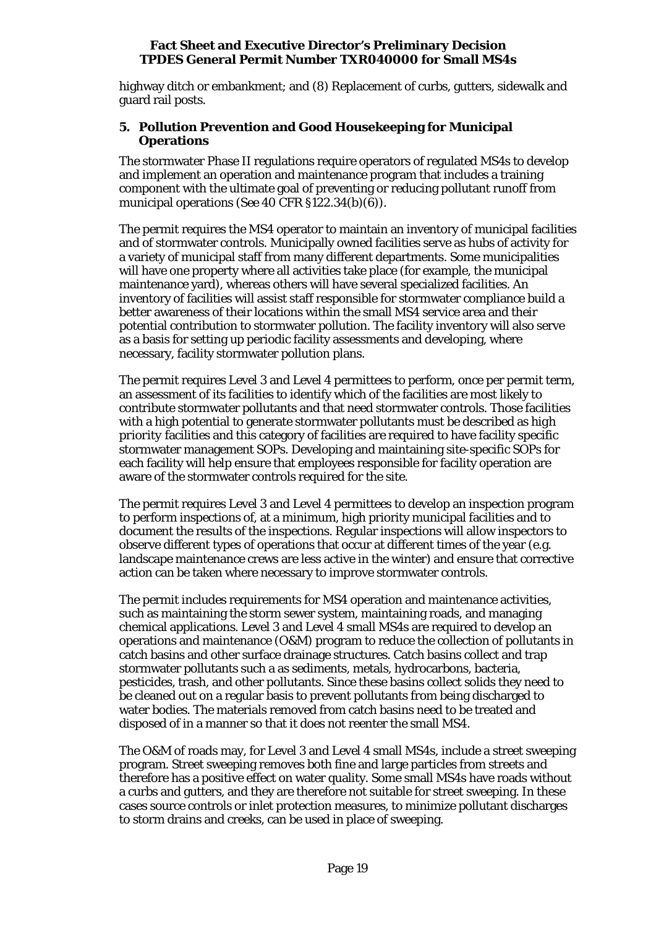highway ditch or embankment; and (8) Replacement of curbs, gutters, sidewalk and guard rail posts.

#### **5. Pollution Prevention and Good Housekeeping for Municipal Operations**

The stormwater Phase II regulations require operators of regulated MS4s to develop and implement an operation and maintenance program that includes a training component with the ultimate goal of preventing or reducing pollutant runoff from municipal operations (*See* 40 CFR §122.34(b)(6)).

The permit requires the MS4 operator to maintain an inventory of municipal facilities and of stormwater controls. Municipally owned facilities serve as hubs of activity for a variety of municipal staff from many different departments. Some municipalities will have one property where all activities take place (for example, the municipal maintenance yard), whereas others will have several specialized facilities. An inventory of facilities will assist staff responsible for stormwater compliance build a better awareness of their locations within the small MS4 service area and their potential contribution to stormwater pollution. The facility inventory will also serve as a basis for setting up periodic facility assessments and developing, where necessary, facility stormwater pollution plans.

The permit requires Level 3 and Level 4 permittees to perform, once per permit term, an assessment of its facilities to identify which of the facilities are most likely to contribute stormwater pollutants and that need stormwater controls. Those facilities with a high potential to generate stormwater pollutants must be described as *high priority* facilities and this category of facilities are required to have facility specific stormwater management SOPs. Developing and maintaining site-specific SOPs for each facility will help ensure that employees responsible for facility operation are aware of the stormwater controls required for the site.

The permit requires Level 3 and Level 4 permittees to develop an inspection program to perform inspections of, at a minimum, high priority municipal facilities and to document the results of the inspections. Regular inspections will allow inspectors to observe different types of operations that occur at different times of the year (e.g. landscape maintenance crews are less active in the winter) and ensure that corrective action can be taken where necessary to improve stormwater controls.

The permit includes requirements for MS4 operation and maintenance activities, such as maintaining the storm sewer system, maintaining roads, and managing chemical applications. Level 3 and Level 4 small MS4s are required to develop an operations and maintenance (O&M) program to reduce the collection of pollutants in catch basins and other surface drainage structures. Catch basins collect and trap stormwater pollutants such a as sediments, metals, hydrocarbons, bacteria, pesticides, trash, and other pollutants. Since these basins collect solids they need to be cleaned out on a regular basis to prevent pollutants from being discharged to water bodies. The materials removed from catch basins need to be treated and disposed of in a manner so that it does not reenter the small MS4.

The O&M of roads may, for Level 3 and Level 4 small MS4s, include a street sweeping program. Street sweeping removes both fine and large particles from streets and therefore has a positive effect on water quality. Some small MS4s have roads without a curbs and gutters, and they are therefore not suitable for street sweeping. In these cases source controls or inlet protection measures, to minimize pollutant discharges to storm drains and creeks, can be used in place of sweeping.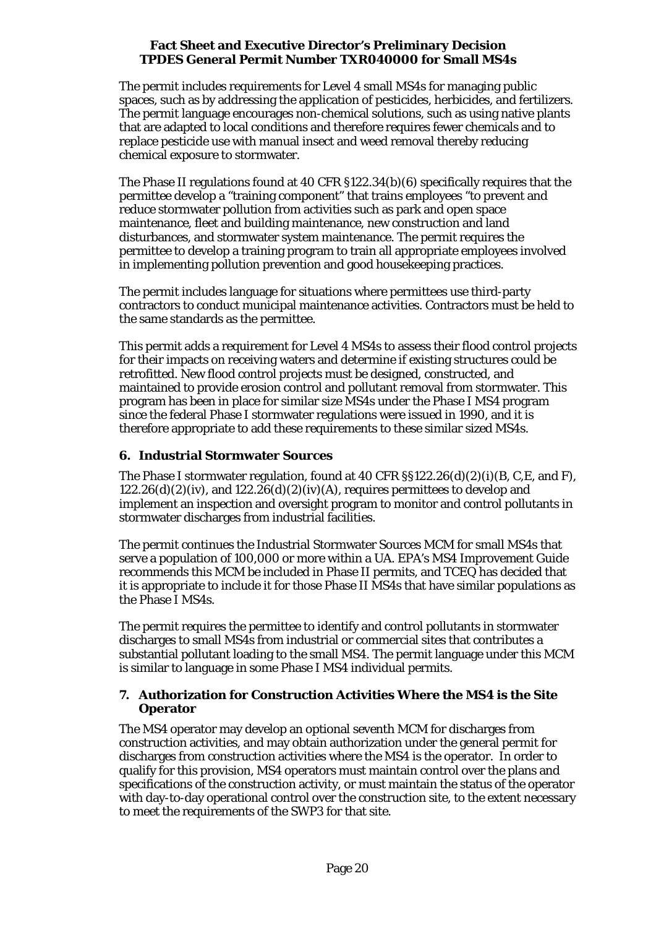The permit includes requirements for Level 4 small MS4s for managing public spaces, such as by addressing the application of pesticides, herbicides, and fertilizers. The permit language encourages non-chemical solutions, such as using native plants that are adapted to local conditions and therefore requires fewer chemicals and to replace pesticide use with manual insect and weed removal thereby reducing chemical exposure to stormwater.

The Phase II regulations found at 40 CFR §122.34(b)(6) specifically requires that the permittee develop a "training component" that trains employees "to prevent and reduce stormwater pollution from activities such as park and open space maintenance, fleet and building maintenance, new construction and land disturbances, and stormwater system maintenance. The permit requires the permittee to develop a training program to train all appropriate employees involved in implementing pollution prevention and good housekeeping practices.

The permit includes language for situations where permittees use third-party contractors to conduct municipal maintenance activities. Contractors must be held to the same standards as the permittee.

This permit adds a requirement for Level 4 MS4s to assess their flood control projects for their impacts on receiving waters and determine if existing structures could be retrofitted. New flood control projects must be designed, constructed, and maintained to provide erosion control and pollutant removal from stormwater. This program has been in place for similar size MS4s under the Phase I MS4 program since the federal Phase I stormwater regulations were issued in 1990, and it is therefore appropriate to add these requirements to these similar sized MS4s.

# **6. Industrial Stormwater Sources**

The Phase I stormwater regulation, found at 40 CFR  $\S$ § 122.26(d)(2)(i)(B, C, E, and F),  $122.26(d)(2)(iv)$ , and  $122.26(d)(2)(iv)(A)$ , requires permittees to develop and implement an inspection and oversight program to monitor and control pollutants in stormwater discharges from industrial facilities.

The permit continues the Industrial Stormwater Sources MCM for small MS4s that serve a population of 100,000 or more within a UA. EPA's MS4 Improvement Guide recommends this MCM be included in Phase II permits, and TCEQ has decided that it is appropriate to include it for those Phase II MS4s that have similar populations as the Phase I MS4s.

The permit requires the permittee to identify and control pollutants in stormwater discharges to small MS4s from industrial or commercial sites that contributes a substantial pollutant loading to the small MS4. The permit language under this MCM is similar to language in some Phase I MS4 individual permits.

# **7. Authorization for Construction Activities Where the MS4 is the Site Operator**

The MS4 operator may develop an optional seventh MCM for discharges from construction activities, and may obtain authorization under the general permit for discharges from construction activities where the MS4 is the operator. In order to qualify for this provision, MS4 operators must maintain control over the plans and specifications of the construction activity, or must maintain the status of the operator with day-to-day operational control over the construction site, to the extent necessary to meet the requirements of the SWP3 for that site.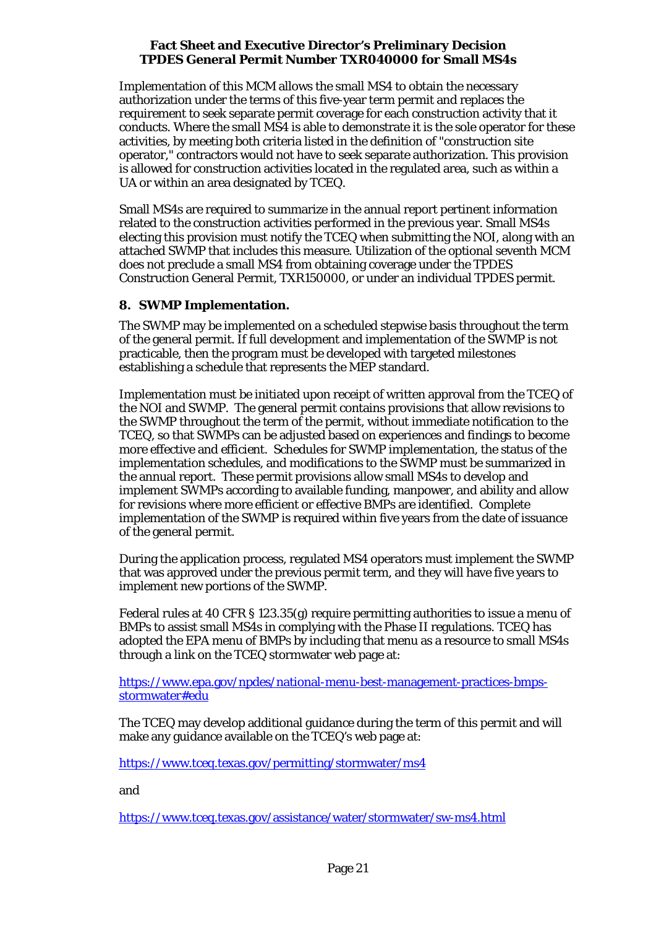Implementation of this MCM allows the small MS4 to obtain the necessary authorization under the terms of this five-year term permit and replaces the requirement to seek separate permit coverage for each construction activity that it conducts. Where the small MS4 is able to demonstrate it is the sole operator for these activities, by meeting both criteria listed in the definition of "construction site operator," contractors would not have to seek separate authorization. This provision is allowed for construction activities located in the regulated area, such as within a UA or within an area designated by TCEQ.

Small MS4s are required to summarize in the annual report pertinent information related to the construction activities performed in the previous year. Small MS4s electing this provision must notify the TCEQ when submitting the NOI, along with an attached SWMP that includes this measure. Utilization of the optional seventh MCM does not preclude a small MS4 from obtaining coverage under the TPDES Construction General Permit, TXR150000, or under an individual TPDES permit.

# **8. SWMP Implementation.**

The SWMP may be implemented on a scheduled stepwise basis throughout the term of the general permit. If full development and implementation of the SWMP is not practicable, then the program must be developed with targeted milestones establishing a schedule that represents the MEP standard.

Implementation must be initiated upon receipt of written approval from the TCEQ of the NOI and SWMP. The general permit contains provisions that allow revisions to the SWMP throughout the term of the permit, without immediate notification to the TCEQ, so that SWMPs can be adjusted based on experiences and findings to become more effective and efficient. Schedules for SWMP implementation, the status of the implementation schedules, and modifications to the SWMP must be summarized in the annual report. These permit provisions allow small MS4s to develop and implement SWMPs according to available funding, manpower, and ability and allow for revisions where more efficient or effective BMPs are identified. Complete implementation of the SWMP is required within five years from the date of issuance of the general permit.

During the application process, regulated MS4 operators must implement the SWMP that was approved under the previous permit term, and they will have five years to implement new portions of the SWMP.

Federal rules at 40 CFR § 123.35(g) require permitting authorities to issue a menu of BMPs to assist small MS4s in complying with the Phase II regulations. TCEQ has adopted the EPA menu of BMPs by including that menu as a resource to small MS4s through a link on the TCEQ stormwater web page at:

[https://www.epa.gov/npdes/national-menu-best-management-practices-bmps](https://www.epa.gov/npdes/national-menu-best-management-practices-bmps-stormwater#edu)[stormwater#edu](https://www.epa.gov/npdes/national-menu-best-management-practices-bmps-stormwater#edu)

The TCEQ may develop additional guidance during the term of this permit and will make any guidance available on the TCEQ's web page at:

<https://www.tceq.texas.gov/permitting/stormwater/ms4>

and

<https://www.tceq.texas.gov/assistance/water/stormwater/sw-ms4.html>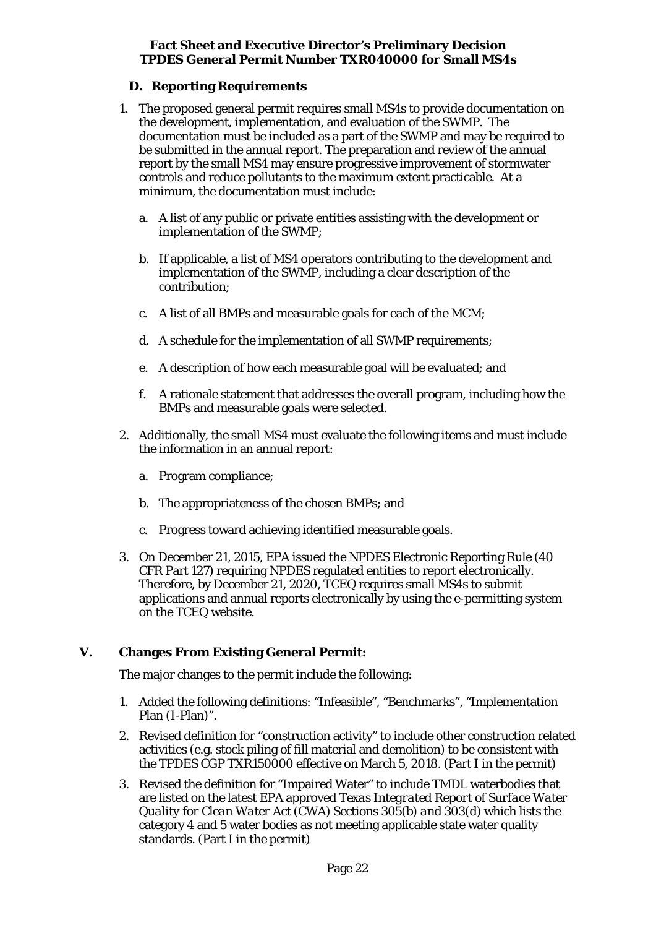# **D. Reporting Requirements**

- <span id="page-21-0"></span>1. The proposed general permit requires small MS4s to provide documentation on the development, implementation, and evaluation of the SWMP. The documentation must be included as a part of the SWMP and may be required to be submitted in the annual report. The preparation and review of the annual report by the small MS4 may ensure progressive improvement of stormwater controls and reduce pollutants to the maximum extent practicable. At a minimum, the documentation must include:
	- a. A list of any public or private entities assisting with the development or implementation of the SWMP;
	- b. If applicable, a list of MS4 operators contributing to the development and implementation of the SWMP, including a clear description of the contribution;
	- c. A list of all BMPs and measurable goals for each of the MCM;
	- d. A schedule for the implementation of all SWMP requirements;
	- e. A description of how each measurable goal will be evaluated; and
	- f. A rationale statement that addresses the overall program, including how the BMPs and measurable goals were selected.
- 2. Additionally, the small MS4 must evaluate the following items and must include the information in an annual report:
	- a. Program compliance;
	- b. The appropriateness of the chosen BMPs; and
	- c. Progress toward achieving identified measurable goals.
- 3. On December 21, 2015, EPA issued the NPDES Electronic Reporting Rule (40 CFR Part 127) requiring NPDES regulated entities to report electronically. Therefore, by December 21, 2020, TCEQ requires small MS4s to submit applications and annual reports electronically by using the e-permitting system on the TCEQ website.

# <span id="page-21-1"></span>**V. Changes From Existing General Permit:**

The major changes to the permit include the following:

- 1. Added the following definitions: "Infeasible", "Benchmarks", "Implementation Plan (I-Plan)".
- 2. Revised definition for "construction activity" to include other construction related activities (e.g. stock piling of fill material and demolition) to be consistent with the TPDES CGP TXR150000 effective on March 5, 2018. (Part I in the permit)
- 3. Revised the definition for "Impaired Water" to include TMDL waterbodies that are listed on the latest EPA approved *Texas Integrated Report of Surface Water Quality for Clean Water Act (CWA) Sections 305(b) and 303(d)* which lists the category 4 and 5 water bodies as not meeting applicable state water quality standards. (Part I in the permit)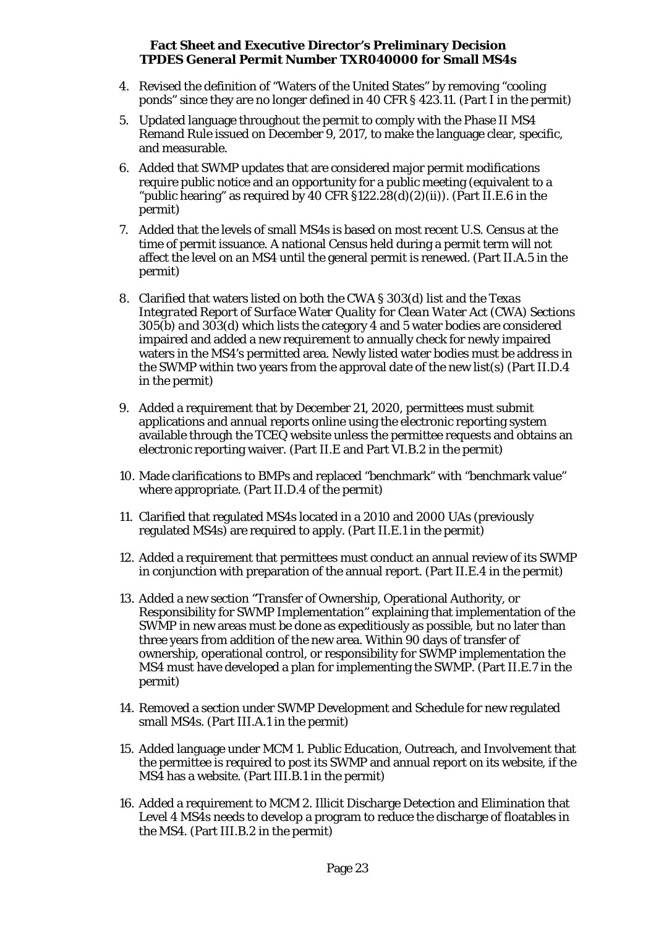- 4. Revised the definition of "Waters of the United States" by removing "cooling ponds" since they are no longer defined in 40 CFR § 423.11. (Part I in the permit)
- 5. Updated language throughout the permit to comply with the Phase II MS4 Remand Rule issued on December 9, 2017, to make the language clear, specific, and measurable.
- 6. Added that SWMP updates that are considered major permit modifications require public notice and an opportunity for a public meeting (equivalent to a "public hearing" as required by 40 CFR  $\S 122.28(d)(2)(ii)$ ). (Part II.E.6 in the permit)
- 7. Added that the levels of small MS4s is based on most recent U.S. Census at the time of permit issuance. A national Census held during a permit term will not affect the level on an MS4 until the general permit is renewed. (Part II.A.5 in the permit)
- 8. Clarified that waters listed on both the CWA § 303(d) list and the *Texas Integrated Report of Surface Water Quality for Clean Water Act (CWA) Sections 305(b) and 303(d)* which lists the category 4 and 5 water bodies are considered impaired and added a new requirement to annually check for newly impaired waters in the MS4's permitted area. Newly listed water bodies must be address in the SWMP within two years from the approval date of the new list(s) (Part II.D.4 in the permit)
- 9. Added a requirement that by December 21, 2020, permittees must submit applications and annual reports online using the electronic reporting system available through the TCEQ website unless the permittee requests and obtains an electronic reporting waiver. (Part II.E and Part VI.B.2 in the permit)
- 10. Made clarifications to BMPs and replaced "benchmark" with "benchmark value" where appropriate. (Part II.D.4 of the permit)
- 11. Clarified that regulated MS4s located in a 2010 and 2000 UAs (previously regulated MS4s) are required to apply. (Part II.E.1 in the permit)
- 12. Added a requirement that permittees must conduct an annual review of its SWMP in conjunction with preparation of the annual report. (Part II.E.4 in the permit)
- 13. Added a new section "Transfer of Ownership, Operational Authority, or Responsibility for SWMP Implementation" explaining that implementation of the SWMP in new areas must be done as expeditiously as possible, but no later than three years from addition of the new area. Within 90 days of transfer of ownership, operational control, or responsibility for SWMP implementation the MS4 must have developed a plan for implementing the SWMP. (Part II.E.7 in the permit)
- 14. Removed a section under SWMP Development and Schedule for new regulated small MS4s. (Part III.A.1 in the permit)
- 15. Added language under MCM 1. Public Education, Outreach, and Involvement that the permittee is required to post its SWMP and annual report on its website, if the MS4 has a website. (Part III.B.1 in the permit)
- 16. Added a requirement to MCM 2. Illicit Discharge Detection and Elimination that Level 4 MS4s needs to develop a program to reduce the discharge of floatables in the MS4. (Part III.B.2 in the permit)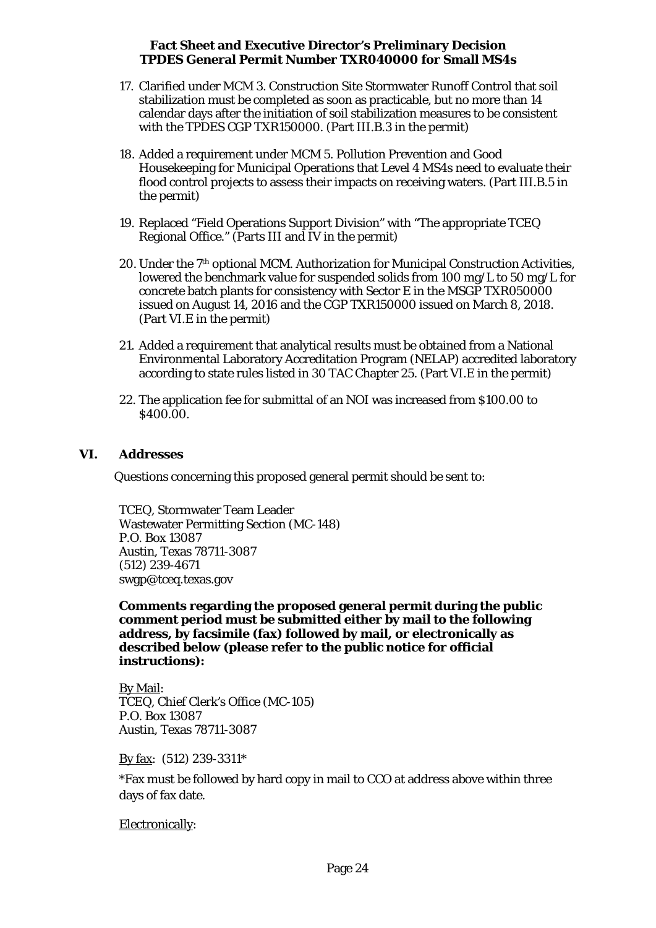- 17. Clarified under MCM 3. Construction Site Stormwater Runoff Control that soil stabilization must be completed as soon as practicable, but no more than 14 calendar days after the initiation of soil stabilization measures to be consistent with the TPDES CGP TXR150000. (Part III.B.3 in the permit)
- 18. Added a requirement under MCM 5. Pollution Prevention and Good Housekeeping for Municipal Operations that Level 4 MS4s need to evaluate their flood control projects to assess their impacts on receiving waters. (Part III.B.5 in the permit)
- 19. Replaced "Field Operations Support Division" with "The appropriate TCEQ Regional Office." (Parts III and IV in the permit)
- 20. Under the 7th optional MCM. Authorization for Municipal Construction Activities, lowered the benchmark value for suspended solids from 100 mg/L to 50 mg/L for concrete batch plants for consistency with Sector E in the MSGP TXR050000 issued on August 14, 2016 and the CGP TXR150000 issued on March 8, 2018. (Part VI.E in the permit)
- 21. Added a requirement that analytical results must be obtained from a National Environmental Laboratory Accreditation Program (NELAP) accredited laboratory according to state rules listed in 30 TAC Chapter 25. (Part VI.E in the permit)
- 22. The application fee for submittal of an NOI was increased from \$100.00 to \$400.00.

#### <span id="page-23-0"></span>**VI. Addresses**

Questions concerning this proposed general permit should be sent to:

TCEQ, Stormwater Team Leader Wastewater Permitting Section (MC-148) P.O. Box 13087 Austin, Texas 78711-3087 (512) 239-4671 swgp@tceq.texas.gov

**Comments regarding the proposed general permit during the public comment period must be submitted either by mail to the following address, by facsimile (fax) followed by mail, or electronically as described below (please refer to the public notice for official instructions):**

By Mail: TCEQ, Chief Clerk's Office (MC-105) P.O. Box 13087 Austin, Texas 78711-3087

By fax: (512) 239-3311\*

\*Fax must be followed by hard copy in mail to CCO at address above within three days of fax date.

Electronically: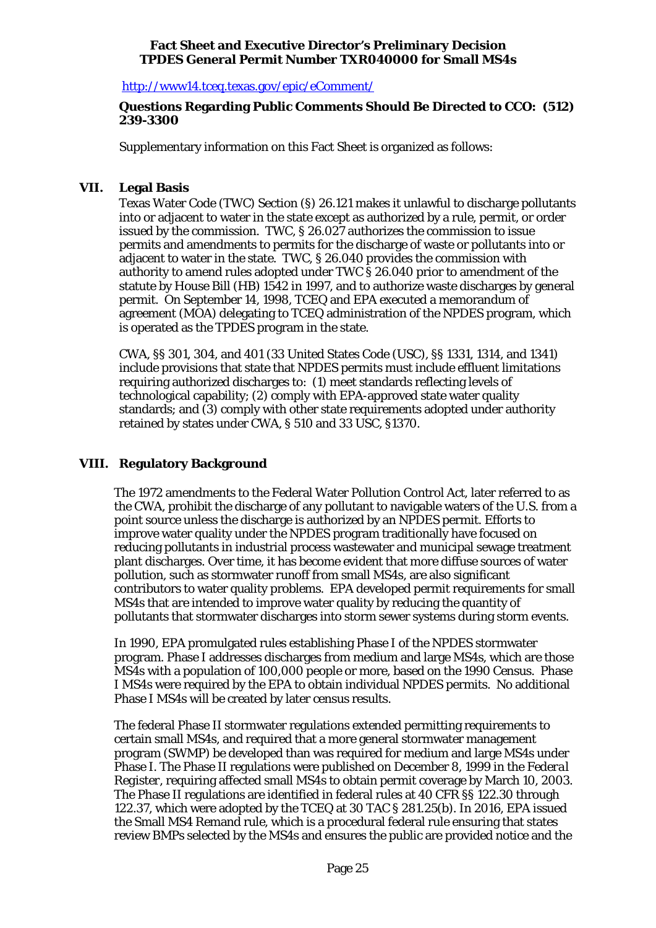<http://www14.tceq.texas.gov/epic/eComment/>

## **Questions Regarding Public Comments Should Be Directed to CCO: (512) 239-3300**

Supplementary information on this Fact Sheet is organized as follows:

## <span id="page-24-0"></span>**VII. Legal Basis**

Texas Water Code (TWC) Section (§) 26.121 makes it unlawful to discharge pollutants into or adjacent to water in the state except as authorized by a rule, permit, or order issued by the commission. TWC, § 26.027 authorizes the commission to issue permits and amendments to permits for the discharge of waste or pollutants into or adjacent to water in the state. TWC, § 26.040 provides the commission with authority to amend rules adopted under TWC § 26.040 prior to amendment of the statute by House Bill (HB) 1542 in 1997, and to authorize waste discharges by general permit. On September 14, 1998, TCEQ and EPA executed a memorandum of agreement (MOA) delegating to TCEQ administration of the NPDES program, which is operated as the TPDES program in the state.

CWA, §§ 301, 304, and 401 (33 United States Code (USC), §§ 1331, 1314, and 1341) include provisions that state that NPDES permits must include effluent limitations requiring authorized discharges to: (1) meet standards reflecting levels of technological capability; (2) comply with EPA-approved state water quality standards; and (3) comply with other state requirements adopted under authority retained by states under CWA, § 510 and 33 USC, §1370.

# <span id="page-24-1"></span>**VIII. Regulatory Background**

The 1972 amendments to the Federal Water Pollution Control Act, later referred to as the CWA, prohibit the discharge of any pollutant to navigable waters of the U.S. from a point source unless the discharge is authorized by an NPDES permit. Efforts to improve water quality under the NPDES program traditionally have focused on reducing pollutants in industrial process wastewater and municipal sewage treatment plant discharges. Over time, it has become evident that more diffuse sources of water pollution, such as stormwater runoff from small MS4s, are also significant contributors to water quality problems. EPA developed permit requirements for small MS4s that are intended to improve water quality by reducing the quantity of pollutants that stormwater discharges into storm sewer systems during storm events.

In 1990, EPA promulgated rules establishing Phase I of the NPDES stormwater program. Phase I addresses discharges from medium and large MS4s, which are those MS4s with a population of 100,000 people or more, based on the 1990 Census. Phase I MS4s were required by the EPA to obtain individual NPDES permits. No additional Phase I MS4s will be created by later census results.

The federal Phase II stormwater regulations extended permitting requirements to certain small MS4s, and required that a more general stormwater management program (SWMP) be developed than was required for medium and large MS4s under Phase I. The Phase II regulations were published on December 8, 1999 in the *Federal Register*, requiring affected small MS4s to obtain permit coverage by March 10, 2003. The Phase II regulations are identified in federal rules at 40 CFR §§ 122.30 through 122.37, which were adopted by the TCEQ at 30 TAC § 281.25(b). In 2016, EPA issued the Small MS4 Remand rule, which is a procedural federal rule ensuring that states review BMPs selected by the MS4s and ensures the public are provided notice and the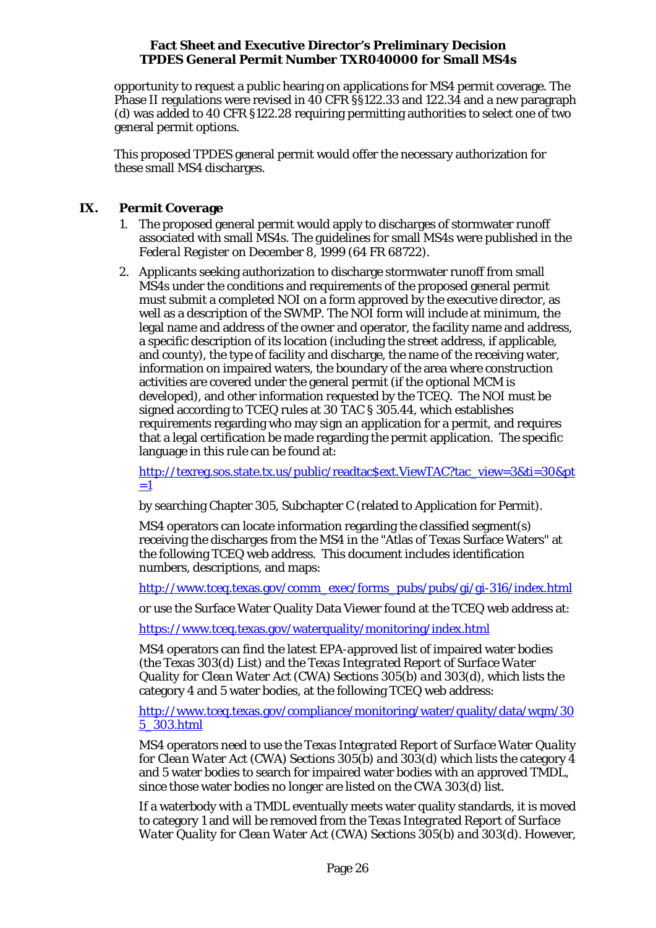opportunity to request a public hearing on applications for MS4 permit coverage. The Phase II regulations were revised in 40 CFR §§122.33 and 122.34 and a new paragraph (d) was added to 40 CFR §122.28 requiring permitting authorities to select one of two general permit options.

This proposed TPDES general permit would offer the necessary authorization for these small MS4 discharges.

# <span id="page-25-0"></span>**IX. Permit Coverage**

- 1. The proposed general permit would apply to discharges of stormwater runoff associated with small MS4s. The guidelines for small MS4s were published in the *Federal Register* on December 8, 1999 (64 FR 68722).
- 2. Applicants seeking authorization to discharge stormwater runoff from small MS4s under the conditions and requirements of the proposed general permit must submit a completed NOI on a form approved by the executive director, as well as a description of the SWMP. The NOI form will include at minimum, the legal name and address of the owner and operator, the facility name and address, a specific description of its location (including the street address, if applicable, and county), the type of facility and discharge, the name of the receiving water, information on impaired waters, the boundary of the area where construction activities are covered under the general permit (if the optional MCM is developed), and other information requested by the TCEQ. The NOI must be signed according to TCEQ rules at 30 TAC § 305.44, which establishes requirements regarding who may sign an application for a permit, and requires that a legal certification be made regarding the permit application. The specific language in this rule can be found at:

[http://texreg.sos.state.tx.us/public/readtac\\$ext.ViewTAC?tac\\_view=3&ti=30&pt](http://texreg.sos.state.tx.us/public/readtac$ext.ViewTAC?tac_view=3&ti=30&pt=1)  $=1$ 

by searching Chapter 305, Subchapter C (related to Application for Permit).

MS4 operators can locate information regarding the classified segment(s) receiving the discharges from the MS4 in the "Atlas of Texas Surface Waters" at the following TCEQ web address. This document includes identification numbers, descriptions, and maps:

[http://www.tceq.texas.gov/comm\\_exec/forms\\_pubs/pubs/gi/gi-316/index.html](http://www.tceq.texas.gov/comm_exec/forms_pubs/pubs/gi/gi-316/index.html)

or use the Surface Water Quality Data Viewer found at the TCEQ web address at:

<https://www.tceq.texas.gov/waterquality/monitoring/index.html>

MS4 operators can find the latest EPA-approved list of impaired water bodies (the Texas 303(d) List) and the *Texas Integrated Report of Surface Water Quality for Clean Water Act (CWA) Sections 305(b) and 303(d),* which lists the category 4 and 5 water bodies, at the following TCEQ web address:

[http://www.tceq.texas.gov/compliance/monitoring/water/quality/data/wqm/30](http://www.tceq.texas.gov/compliance/monitoring/water/quality/data/wqm/305_303.html) [5\\_303.html](http://www.tceq.texas.gov/compliance/monitoring/water/quality/data/wqm/305_303.html)

MS4 operators need to use the *Texas Integrated Report of Surface Water Quality for Clean Water Act (CWA) Sections 305(b) and 303(d)* which lists the category 4 and 5 water bodies to search for impaired water bodies with an approved TMDL, since those water bodies no longer are listed on the CWA 303(d) list.

If a waterbody with a TMDL eventually meets water quality standards, it is moved to category 1 and will be removed from the *Texas Integrated Report of Surface Water Quality for Clean Water Act (CWA) Sections 305(b) and 303(d)*. However,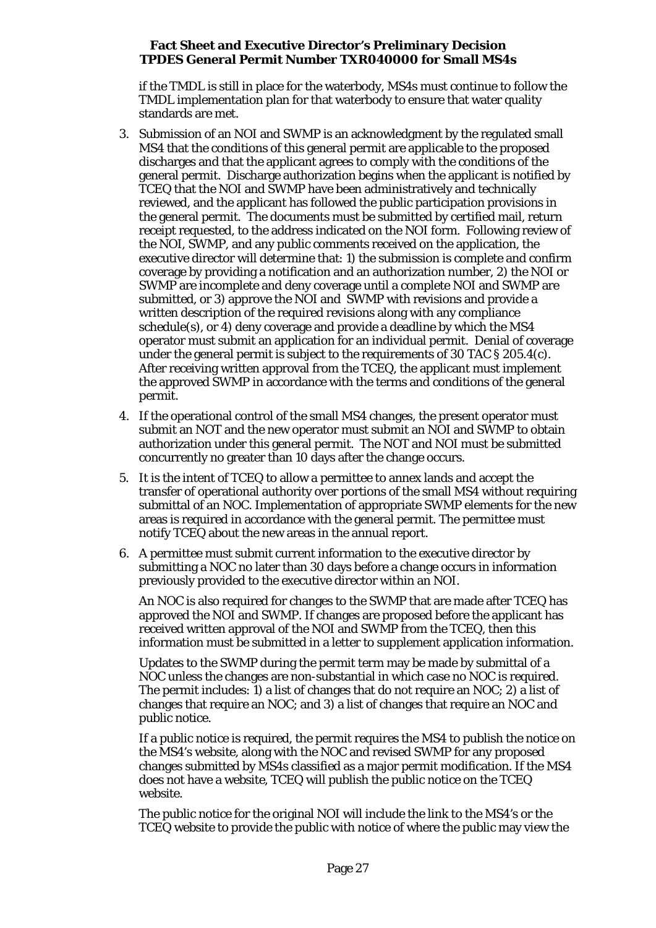if the TMDL is still in place for the waterbody, MS4s must continue to follow the TMDL implementation plan for that waterbody to ensure that water quality standards are met.

- 3. Submission of an NOI and SWMP is an acknowledgment by the regulated small MS4 that the conditions of this general permit are applicable to the proposed discharges and that the applicant agrees to comply with the conditions of the general permit. Discharge authorization begins when the applicant is notified by TCEQ that the NOI and SWMP have been administratively and technically reviewed, and the applicant has followed the public participation provisions in the general permit. The documents must be submitted by certified mail, return receipt requested, to the address indicated on the NOI form. Following review of the NOI, SWMP, and any public comments received on the application, the executive director will determine that: 1) the submission is complete and confirm coverage by providing a notification and an authorization number, 2) the NOI or SWMP are incomplete and deny coverage until a complete NOI and SWMP are submitted, or 3) approve the NOI and SWMP with revisions and provide a written description of the required revisions along with any compliance schedule(s), or 4) deny coverage and provide a deadline by which the MS4 operator must submit an application for an individual permit. Denial of coverage under the general permit is subject to the requirements of 30 TAC § 205.4(c). After receiving written approval from the TCEQ, the applicant must implement the approved SWMP in accordance with the terms and conditions of the general permit.
- 4. If the operational control of the small MS4 changes, the present operator must submit an NOT and the new operator must submit an NOI and SWMP to obtain authorization under this general permit. The NOT and NOI must be submitted concurrently no greater than 10 days after the change occurs.
- 5. It is the intent of TCEQ to allow a permittee to annex lands and accept the transfer of operational authority over portions of the small MS4 without requiring submittal of an NOC. Implementation of appropriate SWMP elements for the new areas is required in accordance with the general permit. The permittee must notify TCEQ about the new areas in the annual report.
- 6. A permittee must submit current information to the executive director by submitting a NOC no later than 30 days before a change occurs in information previously provided to the executive director within an NOI.

An NOC is also required for changes to the SWMP that are made after TCEQ has approved the NOI and SWMP. If changes are proposed before the applicant has received written approval of the NOI and SWMP from the TCEQ, then this information must be submitted in a letter to supplement application information.

Updates to the SWMP during the permit term may be made by submittal of a NOC unless the changes are non-substantial in which case no NOC is required. The permit includes: 1) a list of changes that do not require an NOC; 2) a list of changes that require an NOC; and 3) a list of changes that require an NOC and public notice.

If a public notice is required, the permit requires the MS4 to publish the notice on the MS4's website, along with the NOC and revised SWMP for any proposed changes submitted by MS4s classified as a major permit modification. If the MS4 does not have a website, TCEQ will publish the public notice on the TCEQ website.

The public notice for the original NOI will include the link to the MS4's or the TCEQ website to provide the public with notice of where the public may view the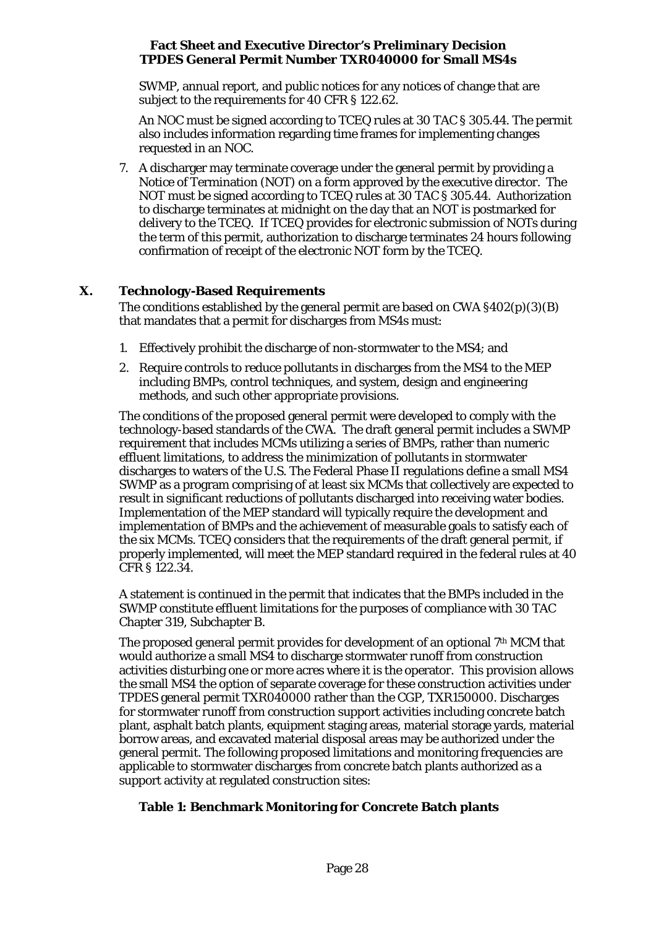SWMP, annual report, and public notices for any notices of change that are subject to the requirements for 40 CFR § 122.62.

An NOC must be signed according to TCEQ rules at 30 TAC § 305.44. The permit also includes information regarding time frames for implementing changes requested in an NOC.

7. A discharger may terminate coverage under the general permit by providing a Notice of Termination (NOT) on a form approved by the executive director. The NOT must be signed according to TCEQ rules at 30 TAC § 305.44. Authorization to discharge terminates at midnight on the day that an NOT is postmarked for delivery to the TCEQ. If TCEQ provides for electronic submission of NOTs during the term of this permit, authorization to discharge terminates 24 hours following confirmation of receipt of the electronic NOT form by the TCEQ.

# <span id="page-27-0"></span>**X. Technology-Based Requirements**

The conditions established by the general permit are based on CWA §402(p)(3)(B) that mandates that a permit for discharges from MS4s must:

- 1. Effectively prohibit the discharge of non-stormwater to the MS4; and
- 2. Require controls to reduce pollutants in discharges from the MS4 to the MEP including BMPs, control techniques, and system, design and engineering methods, and such other appropriate provisions.

The conditions of the proposed general permit were developed to comply with the technology-based standards of the CWA. The draft general permit includes a SWMP requirement that includes MCMs utilizing a series of BMPs, rather than numeric effluent limitations, to address the minimization of pollutants in stormwater discharges to waters of the U.S. The Federal Phase II regulations define a small MS4 SWMP as a program comprising of at least six MCMs that collectively are expected to result in significant reductions of pollutants discharged into receiving water bodies. Implementation of the MEP standard will typically require the development and implementation of BMPs and the achievement of measurable goals to satisfy each of the six MCMs. TCEQ considers that the requirements of the draft general permit, if properly implemented, will meet the MEP standard required in the federal rules at 40 CFR § 122.34.

A statement is continued in the permit that indicates that the BMPs included in the SWMP constitute effluent limitations for the purposes of compliance with 30 TAC Chapter 319, Subchapter B.

The proposed general permit provides for development of an optional 7th MCM that would authorize a small MS4 to discharge stormwater runoff from construction activities disturbing one or more acres where it is the operator. This provision allows the small MS4 the option of separate coverage for these construction activities under TPDES general permit TXR040000 rather than the CGP, TXR150000. Discharges for stormwater runoff from construction support activities including concrete batch plant, asphalt batch plants, equipment staging areas, material storage yards, material borrow areas, and excavated material disposal areas may be authorized under the general permit. The following proposed limitations and monitoring frequencies are applicable to stormwater discharges from concrete batch plants authorized as a support activity at regulated construction sites:

# **Table 1: Benchmark Monitoring for Concrete Batch plants**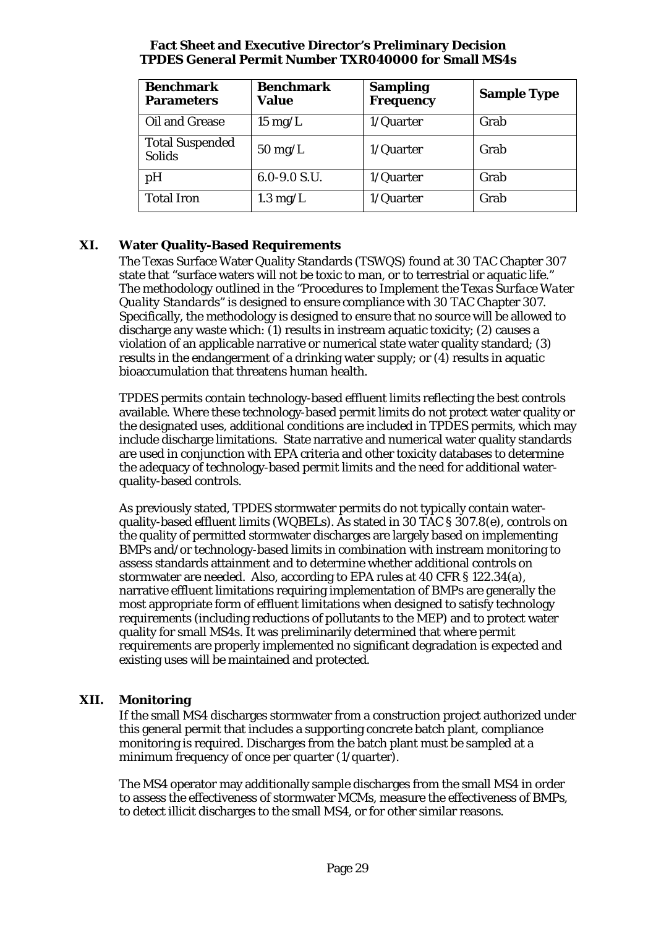| <b>Benchmark</b><br><b>Parameters</b>   | <b>Benchmark</b><br><b>Value</b> | <b>Sampling</b><br><b>Frequency</b> | <b>Sample Type</b> |
|-----------------------------------------|----------------------------------|-------------------------------------|--------------------|
| Oil and Grease                          | $15 \text{ mg/L}$                | $1/Q$ uarter                        | Grab               |
| <b>Total Suspended</b><br><b>Solids</b> | $50 \text{ mg/L}$                | $1/Q$ uarter                        | Grab               |
| pH                                      | $6.0 - 9.0 S.U.$                 | $1/Q$ uarter                        | Grab               |
| <b>Total Iron</b>                       | $1.3 \text{ mg/L}$               | $1/Q$ uarter                        | Grab               |

# <span id="page-28-0"></span>**XI. Water Quality-Based Requirements**

The Texas Surface Water Quality Standards (TSWQS) found at 30 TAC Chapter 307 state that "surface waters will not be toxic to man, or to terrestrial or aquatic life." The methodology outlined in the "*Procedures to Implement the Texas Surface Water Quality Standards*" is designed to ensure compliance with 30 TAC Chapter 307. Specifically, the methodology is designed to ensure that no source will be allowed to discharge any waste which: (1) results in instream aquatic toxicity; (2) causes a violation of an applicable narrative or numerical state water quality standard; (3) results in the endangerment of a drinking water supply; or (4) results in aquatic bioaccumulation that threatens human health.

TPDES permits contain technology-based effluent limits reflecting the best controls available. Where these technology-based permit limits do not protect water quality or the designated uses, additional conditions are included in TPDES permits, which may include discharge limitations. State narrative and numerical water quality standards are used in conjunction with EPA criteria and other toxicity databases to determine the adequacy of technology-based permit limits and the need for additional waterquality-based controls.

As previously stated, TPDES stormwater permits do not typically contain waterquality-based effluent limits (WQBELs). As stated in 30 TAC § 307.8(e), controls on the quality of permitted stormwater discharges are largely based on implementing BMPs and/or technology-based limits in combination with instream monitoring to assess standards attainment and to determine whether additional controls on stormwater are needed. Also, according to EPA rules at 40 CFR § 122.34(a), narrative effluent limitations requiring implementation of BMPs are generally the most appropriate form of effluent limitations when designed to satisfy technology requirements (including reductions of pollutants to the MEP) and to protect water quality for small MS4s. It was preliminarily determined that where permit requirements are properly implemented no significant degradation is expected and existing uses will be maintained and protected.

# <span id="page-28-1"></span>**XII. Monitoring**

If the small MS4 discharges stormwater from a construction project authorized under this general permit that includes a supporting concrete batch plant, compliance monitoring is required. Discharges from the batch plant must be sampled at a minimum frequency of once per quarter (1/quarter).

The MS4 operator may additionally sample discharges from the small MS4 in order to assess the effectiveness of stormwater MCMs, measure the effectiveness of BMPs, to detect illicit discharges to the small MS4, or for other similar reasons.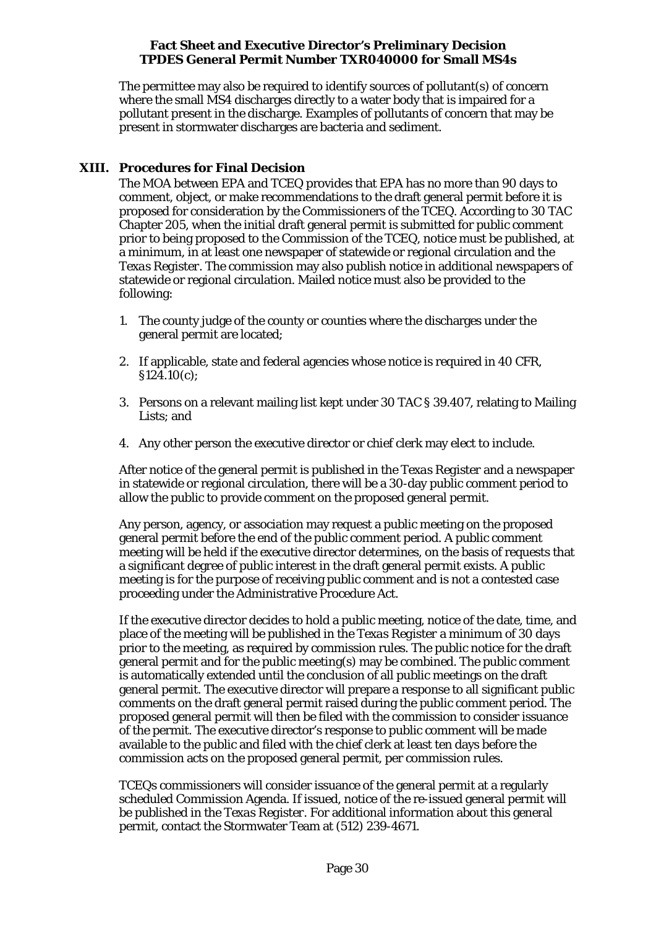The permittee may also be required to identify sources of pollutant(s) of concern where the small MS4 discharges directly to a water body that is impaired for a pollutant present in the discharge. Examples of pollutants of concern that may be present in stormwater discharges are bacteria and sediment.

# <span id="page-29-0"></span>**XIII. Procedures for Final Decision**

The MOA between EPA and TCEQ provides that EPA has no more than 90 days to comment, object, or make recommendations to the draft general permit before it is proposed for consideration by the Commissioners of the TCEQ. According to 30 TAC Chapter 205, when the initial draft general permit is submitted for public comment prior to being proposed to the Commission of the TCEQ, notice must be published, at a minimum, in at least one newspaper of statewide or regional circulation and the *Texas Register*. The commission may also publish notice in additional newspapers of statewide or regional circulation. Mailed notice must also be provided to the following:

- 1. The county judge of the county or counties where the discharges under the general permit are located;
- 2. If applicable, state and federal agencies whose notice is required in 40 CFR, §124.10(c);
- 3. Persons on a relevant mailing list kept under 30 TAC § 39.407, relating to Mailing Lists; and
- 4. Any other person the executive director or chief clerk may elect to include.

After notice of the general permit is published in the *Texas Register* and a newspaper in statewide or regional circulation, there will be a 30-day public comment period to allow the public to provide comment on the proposed general permit.

Any person, agency, or association may request a public meeting on the proposed general permit before the end of the public comment period. A public comment meeting will be held if the executive director determines, on the basis of requests that a significant degree of public interest in the draft general permit exists. A public meeting is for the purpose of receiving public comment and is not a contested case proceeding under the Administrative Procedure Act.

If the executive director decides to hold a public meeting, notice of the date, time, and place of the meeting will be published in the *Texas Register* a minimum of 30 days prior to the meeting, as required by commission rules. The public notice for the draft general permit and for the public meeting(s) may be combined. The public comment is automatically extended until the conclusion of all public meetings on the draft general permit. The executive director will prepare a response to all significant public comments on the draft general permit raised during the public comment period. The proposed general permit will then be filed with the commission to consider issuance of the permit. The executive director's response to public comment will be made available to the public and filed with the chief clerk at least ten days before the commission acts on the proposed general permit, per commission rules.

TCEQs commissioners will consider issuance of the general permit at a regularly scheduled Commission Agenda. If issued, notice of the re-issued general permit will be published in the *Texas Register*. For additional information about this general permit, contact the Stormwater Team at (512) 239-4671.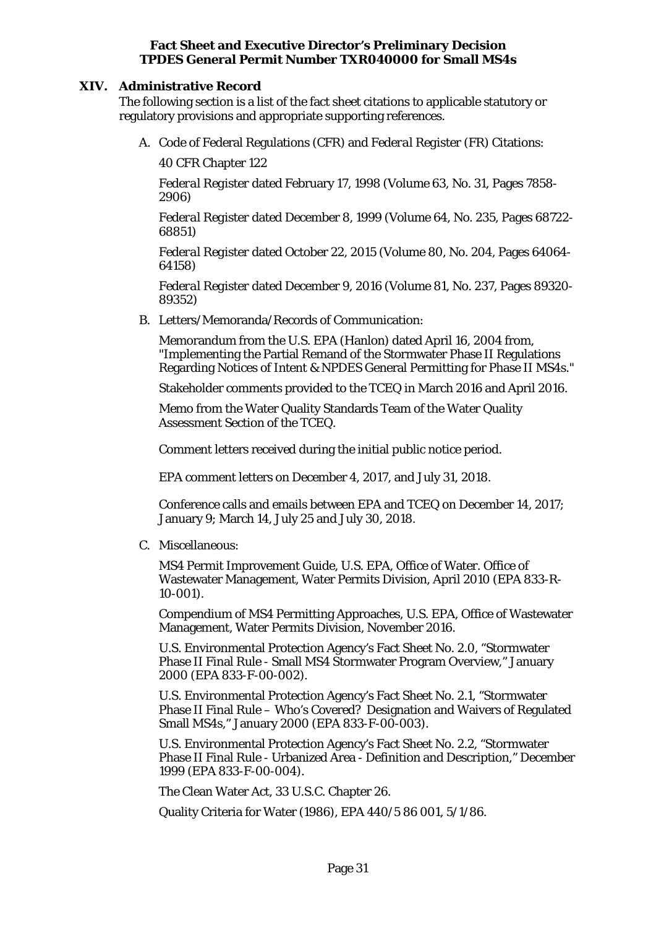## <span id="page-30-0"></span>**XIV. Administrative Record**

The following section is a list of the fact sheet citations to applicable statutory or regulatory provisions and appropriate supporting references.

A. Code of Federal Regulations (CFR) and *Federal Register* (FR) Citations:

40 CFR Chapter 122

*Federal Register* dated February 17, 1998 (Volume 63, No. 31, Pages 7858- 2906)

*Federal Register* dated December 8, 1999 (Volume 64, No. 235, Pages 68722- 68851)

*Federal Register* dated October 22, 2015 (Volume 80, No. 204, Pages 64064- 64158)

*Federal Register* dated December 9, 2016 (Volume 81, No. 237, Pages 89320- 89352)

B. Letters/Memoranda/Records of Communication:

Memorandum from the U.S. EPA (Hanlon) dated April 16, 2004 from, "Implementing the Partial Remand of the Stormwater Phase II Regulations Regarding Notices of Intent & NPDES General Permitting for Phase II MS4s."

Stakeholder comments provided to the TCEQ in March 2016 and April 2016.

Memo from the Water Quality Standards Team of the Water Quality Assessment Section of the TCEQ.

Comment letters received during the initial public notice period.

EPA comment letters on December 4, 2017, and July 31, 2018.

Conference calls and emails between EPA and TCEQ on December 14, 2017; January 9; March 14, July 25 and July 30, 2018.

C. Miscellaneous:

MS4 Permit Improvement Guide, U.S. EPA, Office of Water. Office of Wastewater Management, Water Permits Division, April 2010 (EPA 833-R-10-001).

Compendium of MS4 Permitting Approaches, U.S. EPA, Office of Wastewater Management, Water Permits Division, November 2016.

U.S. Environmental Protection Agency's Fact Sheet No. 2.0, "Stormwater Phase II Final Rule - Small MS4 Stormwater Program Overview," January 2000 (EPA 833-F-00-002).

U.S. Environmental Protection Agency's Fact Sheet No. 2.1, "Stormwater Phase II Final Rule – Who's Covered? Designation and Waivers of Regulated Small MS4s," January 2000 (EPA 833-F-00-003).

U.S. Environmental Protection Agency's Fact Sheet No. 2.2, "Stormwater Phase II Final Rule - Urbanized Area - Definition and Description," December 1999 (EPA 833-F-00-004).

The Clean Water Act, 33 U.S.C. Chapter 26.

Quality Criteria for Water (1986), EPA 440/5 86 001, 5/1/86.